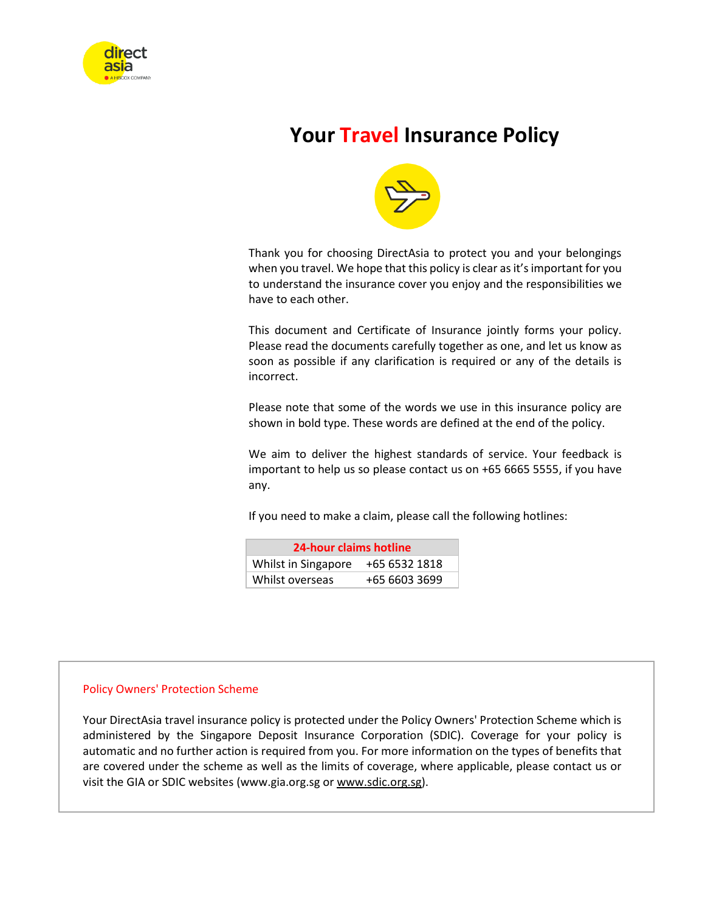

# **Your Travel Insurance Policy**



Thank you for choosing DirectAsia to protect you and your belongings when you travel. We hope that this policy is clear as it's important for you to understand the insurance cover you enjoy and the responsibilities we have to each other.

This document and Certificate of Insurance jointly forms your policy. Please read the documents carefully together as one, and let us know as soon as possible if any clarification is required or any of the details is incorrect.

Please note that some of the words we use in this insurance policy are shown in bold type. These words are defined at the end of the policy.

We aim to deliver the highest standards of service. Your feedback is important to help us so please contact us on +65 6665 5555, if you have any.

If you need to make a claim, please call the following hotlines:

| 24-hour claims hotline               |               |  |  |  |
|--------------------------------------|---------------|--|--|--|
| Whilst in Singapore<br>+65 6532 1818 |               |  |  |  |
| Whilst overseas                      | +65 6603 3699 |  |  |  |

#### Policy Owners' Protection Scheme

Your DirectAsia travel insurance policy is protected under the Policy Owners' Protection Scheme which is administered by the Singapore Deposit Insurance Corporation (SDIC). Coverage for your policy is automatic and no further action is required from you. For more information on the types of benefits that are covered under the scheme as well as the limits of coverage, where applicable, please contact us or visit the GIA or SDIC websites (www.gia.org.sg o[r www.sdic.org.sg\)](http://www.sdic.org.sg/).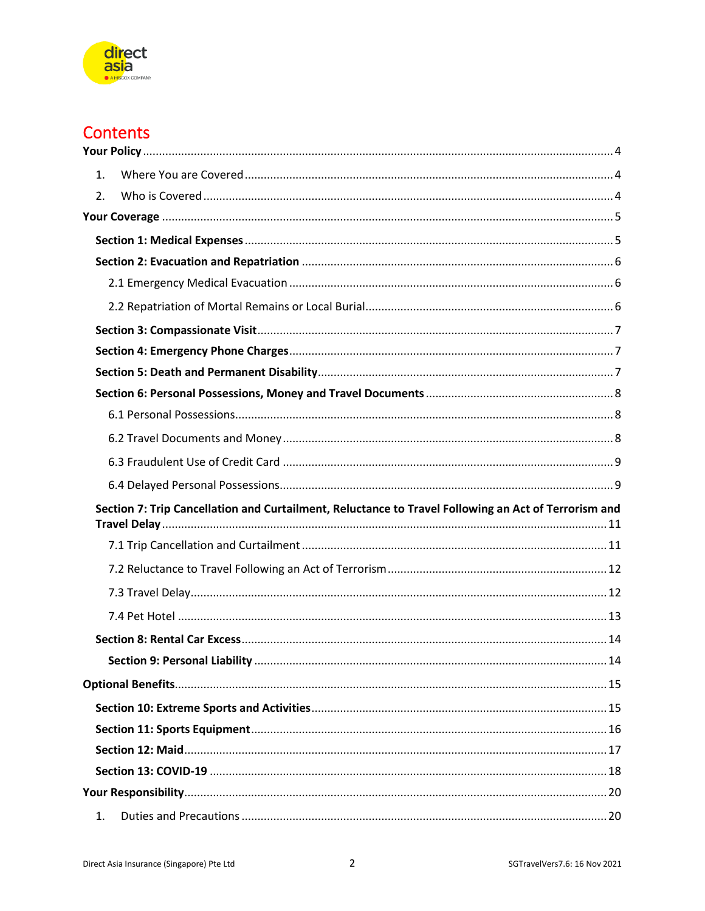

# **Contents**

| $1_{-}$                                                                                              |  |
|------------------------------------------------------------------------------------------------------|--|
| 2.                                                                                                   |  |
|                                                                                                      |  |
|                                                                                                      |  |
|                                                                                                      |  |
|                                                                                                      |  |
|                                                                                                      |  |
|                                                                                                      |  |
|                                                                                                      |  |
|                                                                                                      |  |
|                                                                                                      |  |
|                                                                                                      |  |
|                                                                                                      |  |
|                                                                                                      |  |
|                                                                                                      |  |
|                                                                                                      |  |
| Section 7: Trip Cancellation and Curtailment, Reluctance to Travel Following an Act of Terrorism and |  |
|                                                                                                      |  |
|                                                                                                      |  |
|                                                                                                      |  |
|                                                                                                      |  |
|                                                                                                      |  |
|                                                                                                      |  |
|                                                                                                      |  |
|                                                                                                      |  |
|                                                                                                      |  |
|                                                                                                      |  |
|                                                                                                      |  |
|                                                                                                      |  |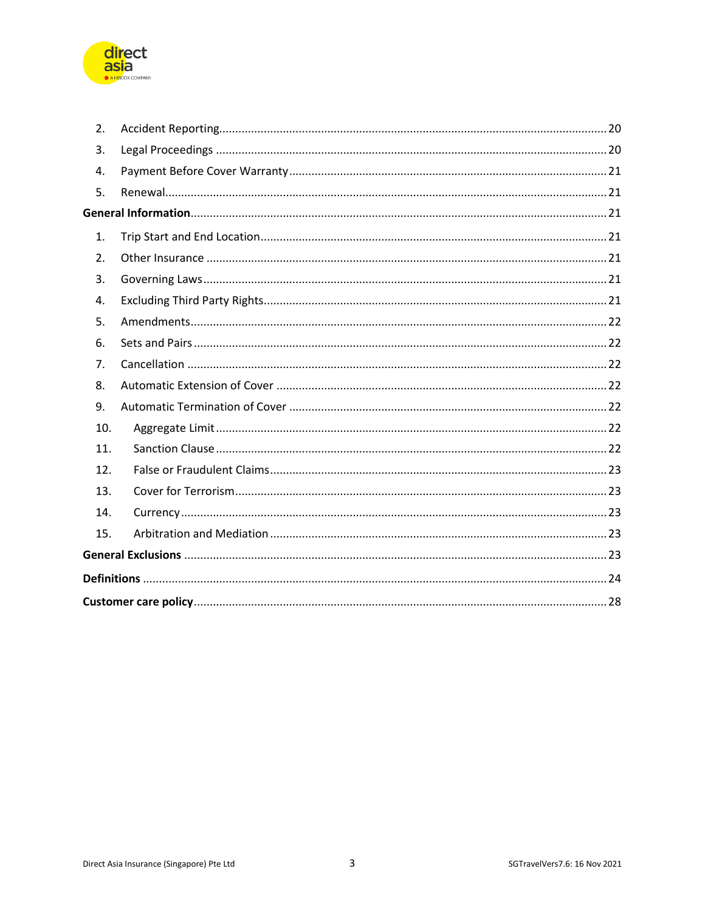

| 2.  |  |
|-----|--|
| 3.  |  |
| 4.  |  |
| 5.  |  |
|     |  |
| 1.  |  |
| 2.  |  |
| 3.  |  |
| 4.  |  |
| 5.  |  |
| 6.  |  |
| 7.  |  |
| 8.  |  |
| 9.  |  |
| 10. |  |
| 11. |  |
| 12. |  |
| 13. |  |
| 14. |  |
| 15. |  |
|     |  |
|     |  |
|     |  |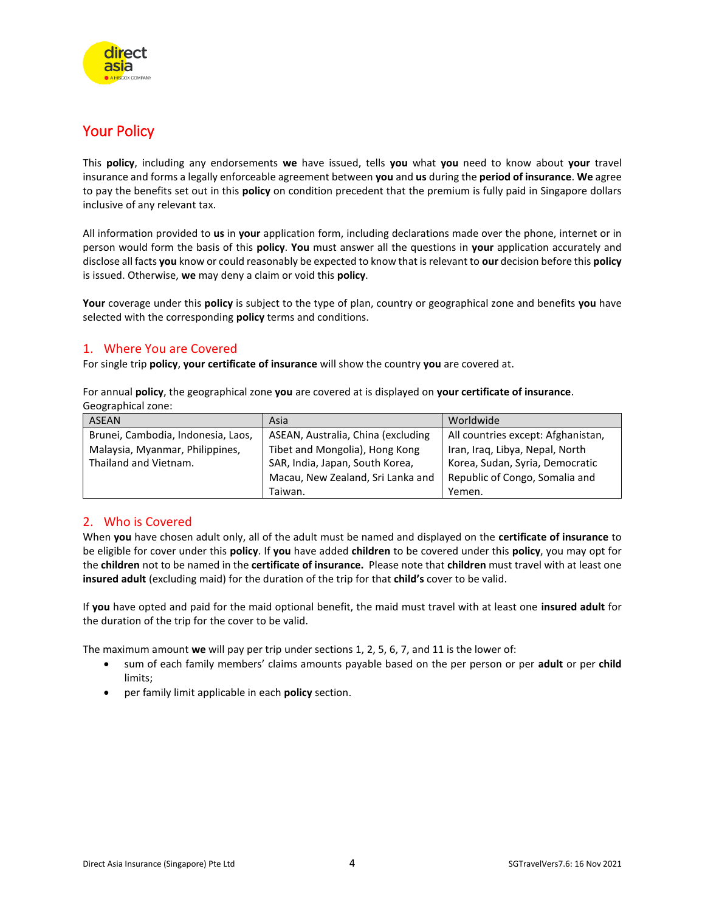

## <span id="page-3-0"></span>Your Policy

This **policy**, including any endorsements **we** have issued, tells **you** what **you** need to know about **your** travel insurance and forms a legally enforceable agreement between **you** and **us** during the **period of insurance**. **We** agree to pay the benefits set out in this **policy** on condition precedent that the premium is fully paid in Singapore dollars inclusive of any relevant tax.

All information provided to **us** in **your** application form, including declarations made over the phone, internet or in person would form the basis of this **policy**. **You** must answer all the questions in **your** application accurately and disclose all facts **you** know or could reasonably be expected to know that is relevant to **our** decision before this **policy** is issued. Otherwise, **we** may deny a claim or void this **policy**.

**Your** coverage under this **policy** is subject to the type of plan, country or geographical zone and benefits **you** have selected with the corresponding **policy** terms and conditions.

## <span id="page-3-1"></span>1. Where You are Covered

For single trip **policy**, **your certificate of insurance** will show the country **you** are covered at.

For annual **policy**, the geographical zone **you** are covered at is displayed on **your certificate of insurance**. Geographical zone:

| <b>ASEAN</b>                       | Asia                               | Worldwide                          |
|------------------------------------|------------------------------------|------------------------------------|
| Brunei, Cambodia, Indonesia, Laos, | ASEAN, Australia, China (excluding | All countries except: Afghanistan, |
| Malaysia, Myanmar, Philippines,    | Tibet and Mongolia), Hong Kong     | Iran, Iraq, Libya, Nepal, North    |
| Thailand and Vietnam.              | SAR, India, Japan, South Korea,    | Korea, Sudan, Syria, Democratic    |
|                                    | Macau, New Zealand, Sri Lanka and  | Republic of Congo, Somalia and     |
|                                    | Taiwan.                            | Yemen.                             |

## <span id="page-3-2"></span>2. Who is Covered

When **you** have chosen adult only, all of the adult must be named and displayed on the **certificate of insurance** to be eligible for cover under this **policy**. If **you** have added **children** to be covered under this **policy**, you may opt for the **children** not to be named in the **certificate of insurance.** Please note that **children** must travel with at least one **insured adult** (excluding maid) for the duration of the trip for that **child's** cover to be valid.

If **you** have opted and paid for the maid optional benefit, the maid must travel with at least one **insured adult** for the duration of the trip for the cover to be valid.

The maximum amount **we** will pay per trip under sections 1, 2, 5, 6, 7, and 11 is the lower of:

- sum of each family members' claims amounts payable based on the per person or per **adult** or per **child** limits;
- per family limit applicable in each **policy** section.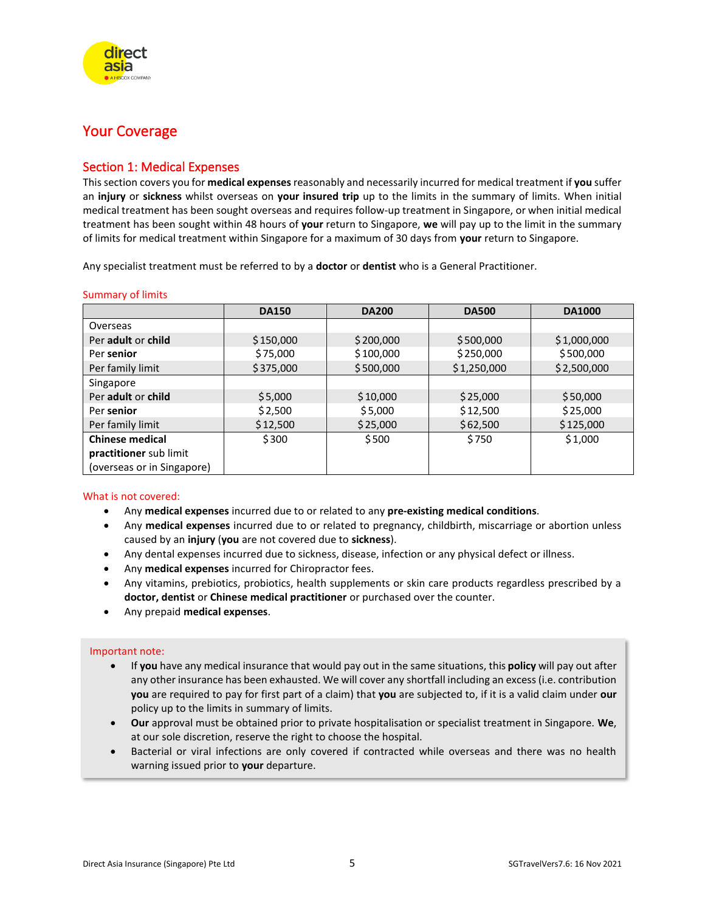

## <span id="page-4-0"></span>Your Coverage

## <span id="page-4-1"></span>Section 1: Medical Expenses

This section covers you for **medical expenses**reasonably and necessarily incurred for medical treatment if **you** suffer an **injury** or **sickness** whilst overseas on **your insured trip** up to the limits in the summary of limits. When initial medical treatment has been sought overseas and requires follow-up treatment in Singapore, or when initial medical treatment has been sought within 48 hours of **your** return to Singapore, **we** will pay up to the limit in the summary of limits for medical treatment within Singapore for a maximum of 30 days from **your** return to Singapore.

Any specialist treatment must be referred to by a **doctor** or **dentist** who is a General Practitioner.

#### Summary of limits

|                            | <b>DA150</b> | <b>DA200</b> | <b>DA500</b> | <b>DA1000</b> |
|----------------------------|--------------|--------------|--------------|---------------|
| Overseas                   |              |              |              |               |
| Per adult or child         | \$150,000    | \$200,000    | \$500,000    | \$1,000,000   |
| Per senior                 | \$75,000     | \$100,000    | \$250,000    | \$500,000     |
| Per family limit           | \$375,000    | \$500,000    | \$1,250,000  | \$2,500,000   |
| Singapore                  |              |              |              |               |
| Per adult or child         | \$5,000      | \$10,000     | \$25,000     | \$50,000      |
| Per senior                 | \$2,500      | \$5,000      | \$12,500     | \$25,000      |
| Per family limit           | \$12,500     | \$25,000     | \$62,500     | \$125,000     |
| <b>Chinese medical</b>     | \$300        | \$500        | \$750        | \$1,000       |
| practitioner sub limit     |              |              |              |               |
| (overseas or in Singapore) |              |              |              |               |

#### What is not covered:

- Any **medical expenses** incurred due to or related to any **pre-existing medical conditions**.
- Any **medical expenses** incurred due to or related to pregnancy, childbirth, miscarriage or abortion unless caused by an **injury** (**you** are not covered due to **sickness**).
- Any dental expenses incurred due to sickness, disease, infection or any physical defect or illness.
- Any **medical expenses** incurred for Chiropractor fees.
- Any vitamins, prebiotics, probiotics, health supplements or skin care products regardless prescribed by a **doctor, dentist** or **Chinese medical practitioner** or purchased over the counter.
- Any prepaid **medical expenses**.

#### Important note:

- If **you** have any medical insurance that would pay out in the same situations, this **policy** will pay out after any other insurance has been exhausted. We will cover any shortfall including an excess (i.e. contribution **you** are required to pay for first part of a claim) that **you** are subjected to, if it is a valid claim under **our** policy up to the limits in summary of limits.
- **Our** approval must be obtained prior to private hospitalisation or specialist treatment in Singapore. **We**, at our sole discretion, reserve the right to choose the hospital.
- Bacterial or viral infections are only covered if contracted while overseas and there was no health warning issued prior to **your** departure.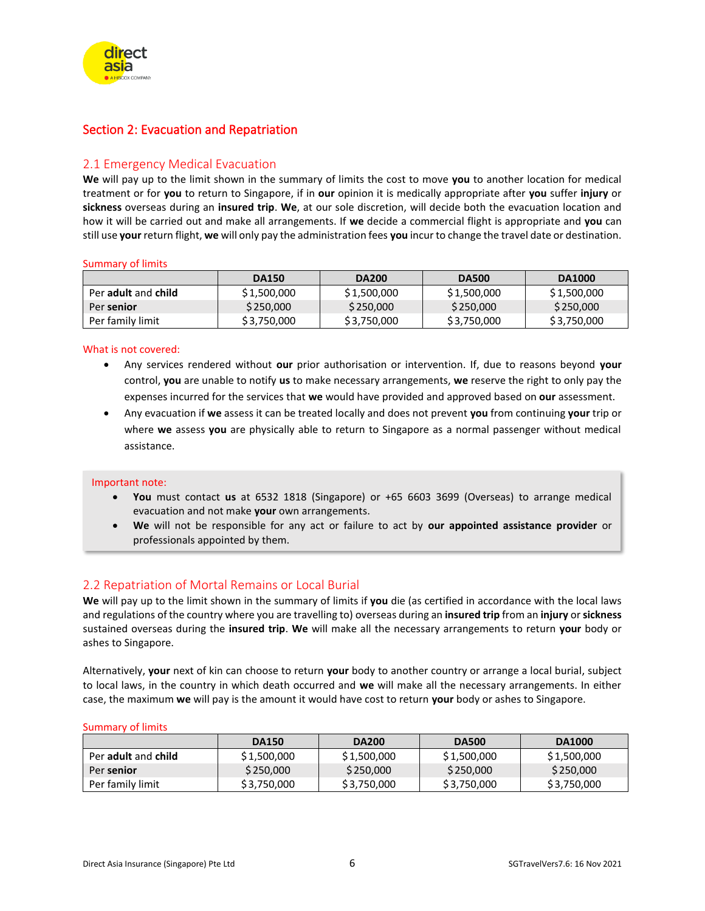<span id="page-5-0"></span>

## <span id="page-5-1"></span>2.1 Emergency Medical Evacuation

**We** will pay up to the limit shown in the summary of limits the cost to move **you** to another location for medical treatment or for **you** to return to Singapore, if in **our** opinion it is medically appropriate after **you** suffer **injury** or **sickness** overseas during an **insured trip**. **We**, at our sole discretion, will decide both the evacuation location and how it will be carried out and make all arrangements. If **we** decide a commercial flight is appropriate and **you** can still use **your** return flight, **we** will only pay the administration fees **you** incur to change the travel date or destination.

#### Summary of limits

|                     | <b>DA150</b> | <b>DA200</b> | <b>DA500</b> | <b>DA1000</b> |
|---------------------|--------------|--------------|--------------|---------------|
| Per adult and child | \$1,500,000  | \$1,500,000  | \$1,500,000  | \$1,500,000   |
| Per senior          | \$250,000    | \$250,000    | \$250,000    | \$250,000     |
| Per family limit    | \$3,750,000  | \$3,750,000  | \$3,750,000  | \$3,750,000   |

#### What is not covered:

- Any services rendered without **our** prior authorisation or intervention. If, due to reasons beyond **your** control, **you** are unable to notify **us** to make necessary arrangements, **we** reserve the right to only pay the expenses incurred for the services that **we** would have provided and approved based on **our** assessment.
- Any evacuation if **we** assess it can be treated locally and does not prevent **you** from continuing **your** trip or where **we** assess **you** are physically able to return to Singapore as a normal passenger without medical assistance.

#### Important note:

- **You** must contact **us** at 6532 1818 (Singapore) or +65 6603 3699 (Overseas) to arrange medical evacuation and not make **your** own arrangements.
- **We** will not be responsible for any act or failure to act by **our appointed assistance provider** or professionals appointed by them.

## <span id="page-5-2"></span>2.2 Repatriation of Mortal Remains or Local Burial

**We** will pay up to the limit shown in the summary of limits if **you** die (as certified in accordance with the local laws and regulations of the country where you are travelling to) overseas during an **insured trip** from an **injury** or **sickness** sustained overseas during the **insured trip**. **We** will make all the necessary arrangements to return **your** body or ashes to Singapore.

Alternatively, **your** next of kin can choose to return **your** body to another country or arrange a local burial, subject to local laws, in the country in which death occurred and **we** will make all the necessary arrangements. In either case, the maximum **we** will pay is the amount it would have cost to return **your** body or ashes to Singapore.

#### Summary of limits

|                     | <b>DA150</b> | <b>DA200</b> | <b>DA500</b> | <b>DA1000</b> |
|---------------------|--------------|--------------|--------------|---------------|
| Per adult and child | \$1,500,000  | \$1,500,000  | \$1,500,000  | \$1,500,000   |
| Per senior          | \$250,000    | \$250,000    | \$250,000    | \$250,000     |
| Per family limit    | \$3,750,000  | \$3,750,000  | \$3,750,000  | \$3,750,000   |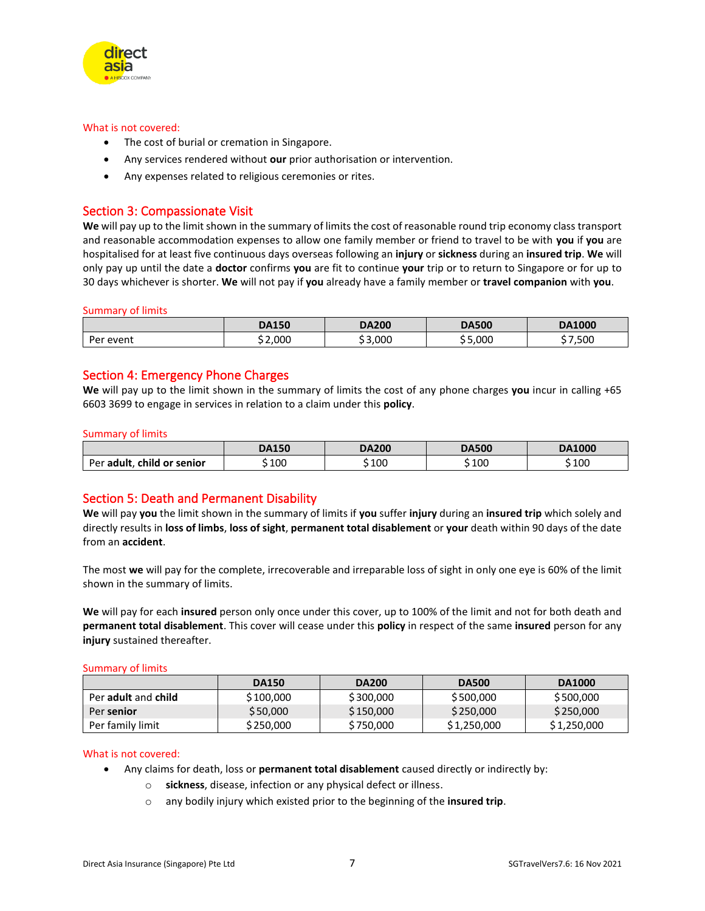

#### What is not covered:

- The cost of burial or cremation in Singapore.
- Any services rendered without **our** prior authorisation or intervention.
- Any expenses related to religious ceremonies or rites.

### <span id="page-6-0"></span>Section 3: Compassionate Visit

We will pay up to the limit shown in the summary of limits the cost of reasonable round trip economy class transport and reasonable accommodation expenses to allow one family member or friend to travel to be with **you** if **you** are hospitalised for at least five continuous days overseas following an **injury** or **sickness** during an **insured trip**. **We** will only pay up until the date a **doctor** confirms **you** are fit to continue **your** trip or to return to Singapore or for up to 30 days whichever is shorter. **We** will not pay if **you** already have a family member or **travel companion** with **you**.

#### Summary of limits

|              | <b>DA150</b> | <b>DA200</b> | <b>DA500</b> | <b>DA1000</b> |
|--------------|--------------|--------------|--------------|---------------|
| Per<br>event | \$2,000      | \$3.000      | 5,000        | ,500          |

### <span id="page-6-1"></span>Section 4: Emergency Phone Charges

**We** will pay up to the limit shown in the summary of limits the cost of any phone charges **you** incur in calling +65 6603 3699 to engage in services in relation to a claim under this **policy**.

#### Summary of limits

|                            | <b>DA150</b> | <b>DA200</b> | <b>DA500</b> | <b>DA1000</b> |
|----------------------------|--------------|--------------|--------------|---------------|
| Per adult, child or senior | 100          | \$100        | 100          | \$ 100        |

## <span id="page-6-2"></span>Section 5: Death and Permanent Disability

**We** will pay **you** the limit shown in the summary of limits if **you** suffer **injury** during an **insured trip** which solely and directly results in **loss of limbs**, **loss of sight**, **permanent total disablement** or **your** death within 90 days of the date from an **accident**.

The most **we** will pay for the complete, irrecoverable and irreparable loss of sight in only one eye is 60% of the limit shown in the summary of limits.

**We** will pay for each **insured** person only once under this cover, up to 100% of the limit and not for both death and **permanent total disablement**. This cover will cease under this **policy** in respect of the same **insured** person for any **injury** sustained thereafter.

Summary of limits

|                     | <b>DA150</b> | <b>DA200</b> | <b>DA500</b> | <b>DA1000</b> |
|---------------------|--------------|--------------|--------------|---------------|
| Per adult and child | \$ 100,000   | \$300,000    | \$500,000    | \$500,000     |
| Per senior          | \$50,000     | \$150,000    | \$250,000    | \$250,000     |
| Per family limit    | \$250.000    | \$750,000    | \$1,250,000  | \$1,250,000   |

#### What is not covered:

- Any claims for death, loss or **permanent total disablement** caused directly or indirectly by:
	- o **sickness**, disease, infection or any physical defect or illness.
	- o any bodily injury which existed prior to the beginning of the **insured trip**.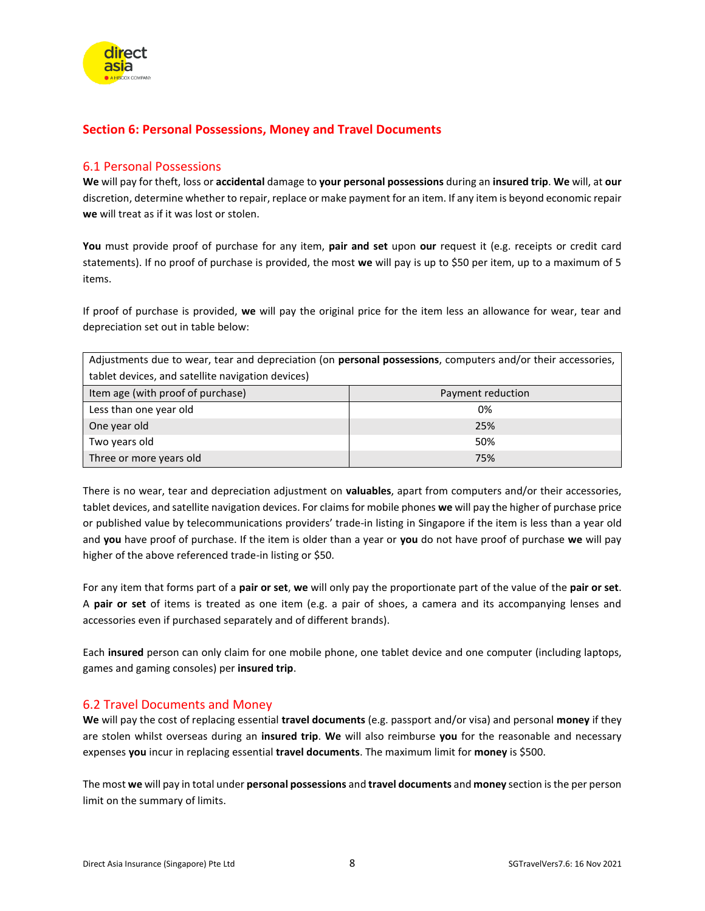

## <span id="page-7-0"></span>**Section 6: Personal Possessions, Money and Travel Documents**

### <span id="page-7-1"></span>6.1 Personal Possessions

**We** will pay for theft, loss or **accidental** damage to **your personal possessions** during an **insured trip**. **We** will, at **our** discretion, determine whether to repair, replace or make payment for an item. If any item is beyond economic repair **we** will treat as if it was lost or stolen.

**You** must provide proof of purchase for any item, **pair and set** upon **our** request it (e.g. receipts or credit card statements). If no proof of purchase is provided, the most **we** will pay is up to \$50 per item, up to a maximum of 5 items.

If proof of purchase is provided, **we** will pay the original price for the item less an allowance for wear, tear and depreciation set out in table below:

Adjustments due to wear, tear and depreciation (on **personal possessions**, computers and/or their accessories, tablet devices, and satellite navigation devices)

| Item age (with proof of purchase) | Payment reduction |
|-----------------------------------|-------------------|
| Less than one year old            | 0%                |
| One year old                      | 25%               |
| Two years old                     | 50%               |
| Three or more years old           | 75%               |

There is no wear, tear and depreciation adjustment on **valuables**, apart from computers and/or their accessories, tablet devices, and satellite navigation devices. For claims for mobile phones **we** will pay the higher of purchase price or published value by telecommunications providers' trade-in listing in Singapore if the item is less than a year old and **you** have proof of purchase. If the item is older than a year or **you** do not have proof of purchase **we** will pay higher of the above referenced trade-in listing or \$50.

For any item that forms part of a **pair or set**, **we** will only pay the proportionate part of the value of the **pair or set**. A **pair or set** of items is treated as one item (e.g. a pair of shoes, a camera and its accompanying lenses and accessories even if purchased separately and of different brands).

Each **insured** person can only claim for one mobile phone, one tablet device and one computer (including laptops, games and gaming consoles) per **insured trip**.

## <span id="page-7-2"></span>6.2 Travel Documents and Money

**We** will pay the cost of replacing essential **travel documents** (e.g. passport and/or visa) and personal **money** if they are stolen whilst overseas during an **insured trip**. **We** will also reimburse **you** for the reasonable and necessary expenses **you** incur in replacing essential **travel documents**. The maximum limit for **money** is \$500.

The most **we** will pay in total under **personal possessions** and **travel documents** and **money** section is the per person limit on the summary of limits.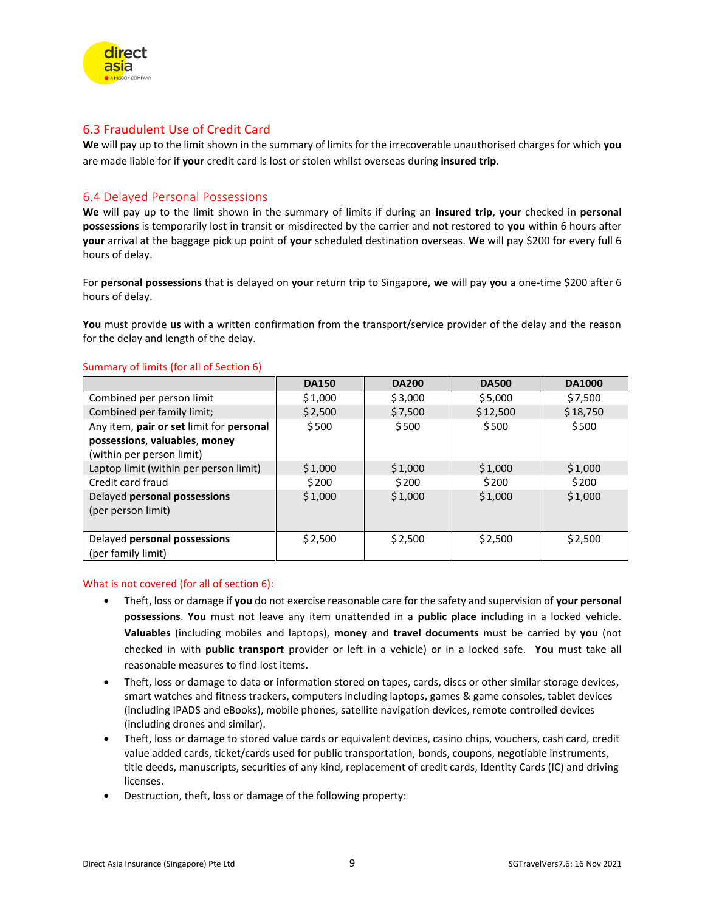

## <span id="page-8-0"></span>6.3 Fraudulent Use of Credit Card

**We** will pay up to the limit shown in the summary of limits for the irrecoverable unauthorised charges for which **you** are made liable for if **your** credit card is lost or stolen whilst overseas during **insured trip**.

## <span id="page-8-1"></span>6.4 Delayed Personal Possessions

**We** will pay up to the limit shown in the summary of limits if during an **insured trip**, **your** checked in **personal possessions** is temporarily lost in transit or misdirected by the carrier and not restored to **you** within 6 hours after **your** arrival at the baggage pick up point of **your** scheduled destination overseas. **We** will pay \$200 for every full 6 hours of delay.

For **personal possessions** that is delayed on **your** return trip to Singapore, **we** will pay **you** a one-time \$200 after 6 hours of delay.

**You** must provide **us** with a written confirmation from the transport/service provider of the delay and the reason for the delay and length of the delay.

|                                                            | <b>DA150</b> | <b>DA200</b> | <b>DA500</b> | <b>DA1000</b> |
|------------------------------------------------------------|--------------|--------------|--------------|---------------|
| Combined per person limit                                  | \$1,000      | \$3,000      | \$5,000      | \$7,500       |
| Combined per family limit;                                 | \$2,500      | \$7,500      | \$12,500     | \$18,750      |
| Any item, pair or set limit for personal                   | \$500        | \$500        | \$500        | \$500         |
| possessions, valuables, money<br>(within per person limit) |              |              |              |               |
| Laptop limit (within per person limit)                     | \$1,000      | \$1,000      | \$1,000      | \$1,000       |
| Credit card fraud                                          | \$200        | \$200        | \$200        | \$200         |
| Delayed personal possessions<br>(per person limit)         | \$1,000      | \$1,000      | \$1,000      | \$1,000       |
| Delayed personal possessions<br>(per family limit)         | \$2,500      | \$2,500      | \$2,500      | \$2,500       |

#### Summary of limits (for all of Section 6)

#### What is not covered (for all of section 6):

- Theft, loss or damage if **you** do not exercise reasonable care for the safety and supervision of **your personal possessions**. **You** must not leave any item unattended in a **public place** including in a locked vehicle. **Valuables** (including mobiles and laptops), **money** and **travel documents** must be carried by **you** (not checked in with **public transport** provider or left in a vehicle) or in a locked safe. **You** must take all reasonable measures to find lost items.
- Theft, loss or damage to data or information stored on tapes, cards, discs or other similar storage devices, smart watches and fitness trackers, computers including laptops, games & game consoles, tablet devices (including IPADS and eBooks), mobile phones, satellite navigation devices, remote controlled devices (including drones and similar).
- Theft, loss or damage to stored value cards or equivalent devices, casino chips, vouchers, cash card, credit value added cards, ticket/cards used for public transportation, bonds, coupons, negotiable instruments, title deeds, manuscripts, securities of any kind, replacement of credit cards, Identity Cards (IC) and driving licenses.
- Destruction, theft, loss or damage of the following property: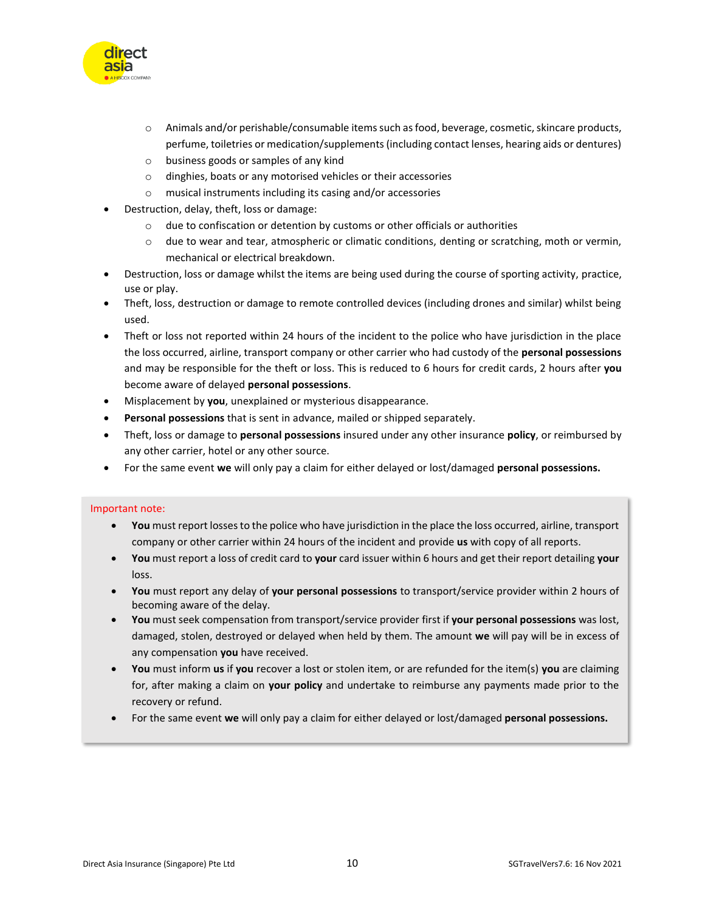

- o Animals and/or perishable/consumable items such as food, beverage, cosmetic, skincare products, perfume, toiletries or medication/supplements (including contact lenses, hearing aids or dentures)
- o business goods or samples of any kind
- o dinghies, boats or any motorised vehicles or their accessories
- o musical instruments including its casing and/or accessories
- Destruction, delay, theft, loss or damage:
	- $\circ$  due to confiscation or detention by customs or other officials or authorities
	- o due to wear and tear, atmospheric or climatic conditions, denting or scratching, moth or vermin, mechanical or electrical breakdown.
- Destruction, loss or damage whilst the items are being used during the course of sporting activity, practice, use or play.
- Theft, loss, destruction or damage to remote controlled devices (including drones and similar) whilst being used.
- Theft or loss not reported within 24 hours of the incident to the police who have jurisdiction in the place the loss occurred, airline, transport company or other carrier who had custody of the **personal possessions** and may be responsible for the theft or loss. This is reduced to 6 hours for credit cards, 2 hours after **you**  become aware of delayed **personal possessions**.
- Misplacement by **you**, unexplained or mysterious disappearance.
- **Personal possessions** that is sent in advance, mailed or shipped separately.
- Theft, loss or damage to **personal possessions** insured under any other insurance **policy**, or reimbursed by any other carrier, hotel or any other source.
- For the same event **we** will only pay a claim for either delayed or lost/damaged **personal possessions.**

#### Important note:

- **You** must report losses to the police who have jurisdiction in the place the loss occurred, airline, transport company or other carrier within 24 hours of the incident and provide **us** with copy of all reports.
- **You** must report a loss of credit card to **your** card issuer within 6 hours and get their report detailing **your** loss.
- **You** must report any delay of **your personal possessions** to transport/service provider within 2 hours of becoming aware of the delay.
- **You** must seek compensation from transport/service provider first if **your personal possessions** was lost, damaged, stolen, destroyed or delayed when held by them. The amount **we** will pay will be in excess of any compensation **you** have received.
- **You** must inform **us** if **you** recover a lost or stolen item, or are refunded for the item(s) **you** are claiming for, after making a claim on **your policy** and undertake to reimburse any payments made prior to the recovery or refund.
- For the same event **we** will only pay a claim for either delayed or lost/damaged **personal possessions.**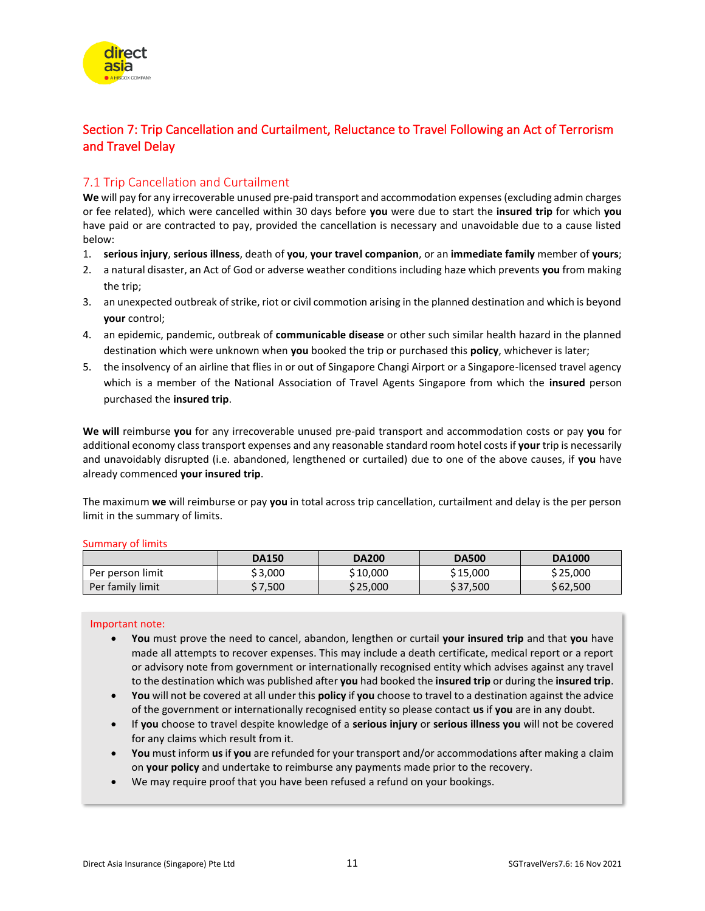## <span id="page-10-0"></span>Section 7: Trip Cancellation and Curtailment, Reluctance to Travel Following an Act of Terrorism and Travel Delay

## <span id="page-10-1"></span>7.1 Trip Cancellation and Curtailment

**We** will pay for any irrecoverable unused pre-paid transport and accommodation expenses (excluding admin charges or fee related), which were cancelled within 30 days before **you** were due to start the **insured trip** for which **you** have paid or are contracted to pay, provided the cancellation is necessary and unavoidable due to a cause listed below:

- 1. **serious injury**, **serious illness**, death of **you**, **your travel companion**, or an **immediate family** member of **yours**;
- 2. a natural disaster, an Act of God or adverse weather conditions including haze which prevents **you** from making the trip;
- 3. an unexpected outbreak of strike, riot or civil commotion arising in the planned destination and which is beyond **your** control;
- 4. an epidemic, pandemic, outbreak of **communicable disease** or other such similar health hazard in the planned destination which were unknown when **you** booked the trip or purchased this **policy**, whichever is later;
- 5. the insolvency of an airline that flies in or out of Singapore Changi Airport or a Singapore-licensed travel agency which is a member of the National Association of Travel Agents Singapore from which the **insured** person purchased the **insured trip**.

**We will** reimburse **you** for any irrecoverable unused pre-paid transport and accommodation costs or pay **you** for additional economy class transport expenses and any reasonable standard room hotel costs if **your** trip is necessarily and unavoidably disrupted (i.e. abandoned, lengthened or curtailed) due to one of the above causes, if **you** have already commenced **your insured trip**.

The maximum **we** will reimburse or pay **you** in total across trip cancellation, curtailment and delay is the per person limit in the summary of limits.

| ummary of limits |              |              |              |               |  |
|------------------|--------------|--------------|--------------|---------------|--|
|                  | <b>DA150</b> | <b>DA200</b> | <b>DA500</b> | <b>DA1000</b> |  |
| Per person limit | \$3,000      | \$10,000     | \$15,000     | \$25,000      |  |
| Per family limit | \$7,500      | \$25,000     | \$37,500     | \$62,500      |  |

#### Sum

#### Important note:

- **You** must prove the need to cancel, abandon, lengthen or curtail **your insured trip** and that **you** have made all attempts to recover expenses. This may include a death certificate, medical report or a report or advisory note from government or internationally recognised entity which advises against any travel to the destination which was published after **you** had booked the **insured trip** or during the **insured trip**.
- **You** will not be covered at all under this **policy** if **you** choose to travel to a destination against the advice of the government or internationally recognised entity so please contact **us** if **you** are in any doubt.
- If **you** choose to travel despite knowledge of a **serious injury** or **serious illness you** will not be covered for any claims which result from it.
- **You** must inform **us** if **you** are refunded for your transport and/or accommodations after making a claim on **your policy** and undertake to reimburse any payments made prior to the recovery.
- We may require proof that you have been refused a refund on your bookings.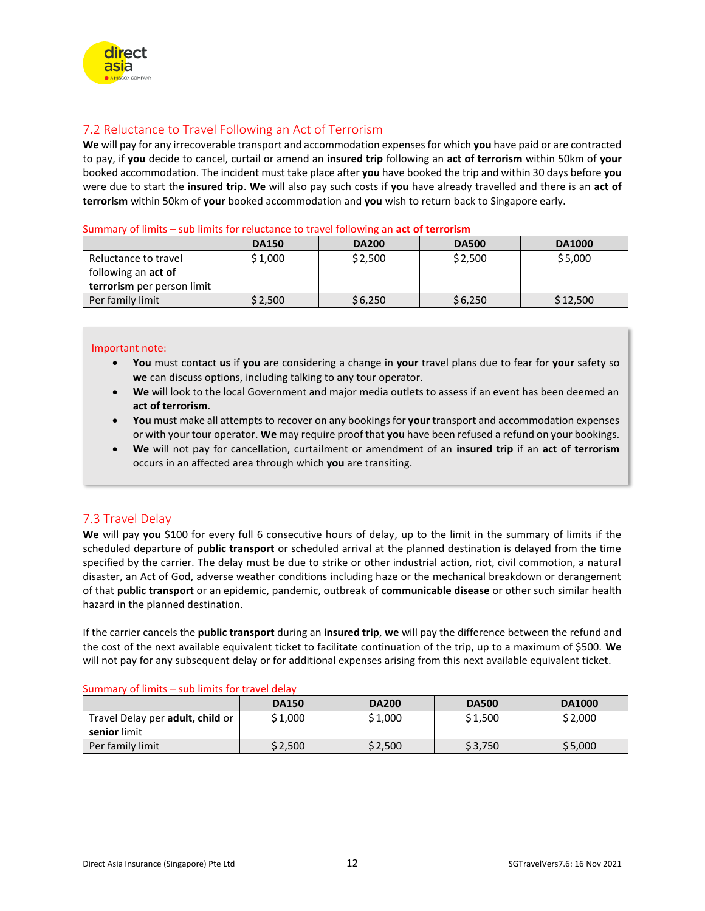

## <span id="page-11-0"></span>7.2 Reluctance to Travel Following an Act of Terrorism

**We** will pay for any irrecoverable transport and accommodation expenses for which **you** have paid or are contracted to pay, if **you** decide to cancel, curtail or amend an **insured trip** following an **act of terrorism** within 50km of **your** booked accommodation. The incident must take place after **you** have booked the trip and within 30 days before **you** were due to start the **insured trip**. **We** will also pay such costs if **you** have already travelled and there is an **act of terrorism** within 50km of **your** booked accommodation and **you** wish to return back to Singapore early.

#### Summary of limits – sub limits for reluctance to travel following an **act of terrorism**

|                            | <b>DA150</b> | <b>DA200</b> | <b>DA500</b> | <b>DA1000</b> |
|----------------------------|--------------|--------------|--------------|---------------|
| Reluctance to travel       | \$1,000      | \$2,500      | \$2,500      | \$5,000       |
| following an <b>act of</b> |              |              |              |               |
| terrorism per person limit |              |              |              |               |
| Per family limit           | \$2,500      | \$6,250      | \$6,250      | \$12,500      |

#### Important note:

- **You** must contact **us** if **you** are considering a change in **your** travel plans due to fear for **your** safety so **we** can discuss options, including talking to any tour operator.
- **We** will look to the local Government and major media outlets to assess if an event has been deemed an **act of terrorism**.
- **You** must make all attempts to recover on any bookings for **your** transport and accommodation expenses or with your tour operator. **We** may require proof that **you** have been refused a refund on your bookings.
- **We** will not pay for cancellation, curtailment or amendment of an **insured trip** if an **act of terrorism** occurs in an affected area through which **you** are transiting.

## <span id="page-11-1"></span>7.3 Travel Delay

**We** will pay **you** \$100 for every full 6 consecutive hours of delay, up to the limit in the summary of limits if the scheduled departure of **public transport** or scheduled arrival at the planned destination is delayed from the time specified by the carrier. The delay must be due to strike or other industrial action, riot, civil commotion, a natural disaster, an Act of God, adverse weather conditions including haze or the mechanical breakdown or derangement of that **public transport** or an epidemic, pandemic, outbreak of **communicable disease** or other such similar health hazard in the planned destination.

If the carrier cancels the **public transport** during an **insured trip**, **we** will pay the difference between the refund and the cost of the next available equivalent ticket to facilitate continuation of the trip, up to a maximum of \$500. **We** will not pay for any subsequent delay or for additional expenses arising from this next available equivalent ticket.

| ____________<br>_ _ _ _ _ _ _ _ _ _     | <b>DA150</b> | <b>DA200</b> | <b>DA500</b> | <b>DA1000</b> |
|-----------------------------------------|--------------|--------------|--------------|---------------|
| Travel Delay per <b>adult, child</b> or | \$1,000      | \$1,000      | \$1,500      | \$2,000       |
| senior limit                            |              |              |              |               |
| Per family limit                        | \$2,500      | \$2,500      | \$3,750      | \$5,000       |

Summary of limits – sub limits for travel delay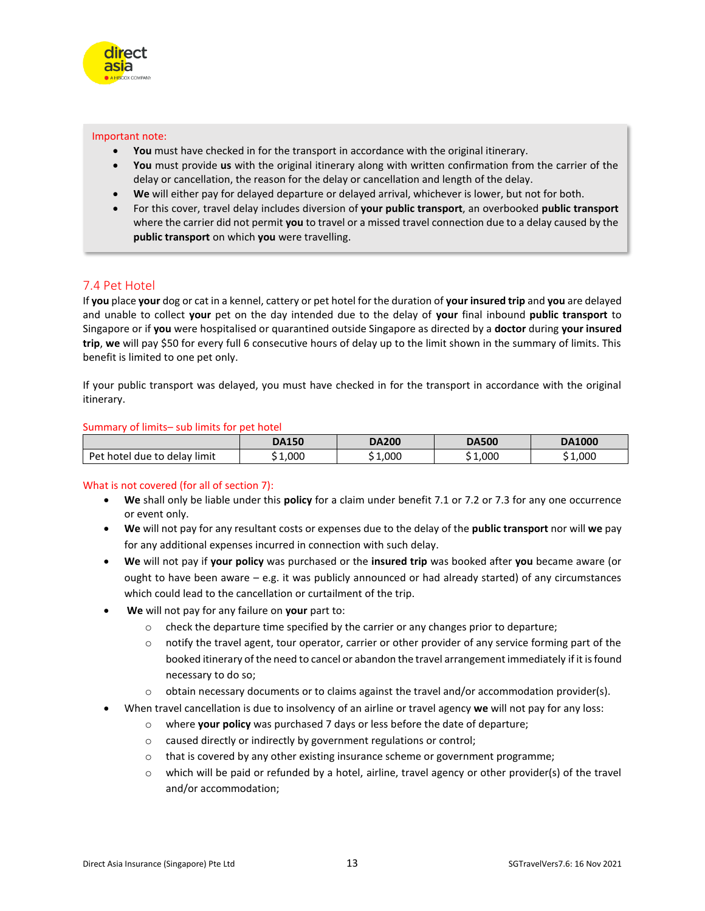

#### Important note:

- **You** must have checked in for the transport in accordance with the original itinerary.
- **You** must provide **us** with the original itinerary along with written confirmation from the carrier of the delay or cancellation, the reason for the delay or cancellation and length of the delay.
- **We** will either pay for delayed departure or delayed arrival, whichever is lower, but not for both.
- For this cover, travel delay includes diversion of **your public transport**, an overbooked **public transport** where the carrier did not permit **you** to travel or a missed travel connection due to a delay caused by the **public transport** on which **you** were travelling.

## <span id="page-12-0"></span>7.4 Pet Hotel

If **you** place **your** dog or cat in a kennel, cattery or pet hotel for the duration of **your insured trip** and **you** are delayed and unable to collect **your** pet on the day intended due to the delay of **your** final inbound **public transport** to Singapore or if **you** were hospitalised or quarantined outside Singapore as directed by a **doctor** during **your insured trip**, **we** will pay \$50 for every full 6 consecutive hours of delay up to the limit shown in the summary of limits. This benefit is limited to one pet only.

If your public transport was delayed, you must have checked in for the transport in accordance with the original itinerary.

#### Summary of limits– sub limits for pet hotel

|                              | <b>DA150</b> | <b>DA200</b>         | <b>DA500</b> | <b>DA1000</b> |
|------------------------------|--------------|----------------------|--------------|---------------|
| Pet hotel due to delay limit | 1.000        | 1.000<br>$^{\sim}$ 1 | 1,000        | 000           |

#### What is not covered (for all of section 7):

- **We** shall only be liable under this **policy** for a claim under benefit 7.1 or 7.2 or 7.3 for any one occurrence or event only.
- **We** will not pay for any resultant costs or expenses due to the delay of the **public transport** nor will **we** pay for any additional expenses incurred in connection with such delay.
- **We** will not pay if **your policy** was purchased or the **insured trip** was booked after **you** became aware (or ought to have been aware – e.g. it was publicly announced or had already started) of any circumstances which could lead to the cancellation or curtailment of the trip.
- **We** will not pay for any failure on **your** part to:
	- $\circ$  check the departure time specified by the carrier or any changes prior to departure;
	- $\circ$  notify the travel agent, tour operator, carrier or other provider of any service forming part of the booked itinerary of the need to cancel or abandon the travel arrangement immediately if it is found necessary to do so;
	- $\circ$  obtain necessary documents or to claims against the travel and/or accommodation provider(s).
- When travel cancellation is due to insolvency of an airline or travel agency **we** will not pay for any loss:
	- o where **your policy** was purchased 7 days or less before the date of departure;
	- o caused directly or indirectly by government regulations or control;
	- $\circ$  that is covered by any other existing insurance scheme or government programme;
	- $\circ$  which will be paid or refunded by a hotel, airline, travel agency or other provider(s) of the travel and/or accommodation;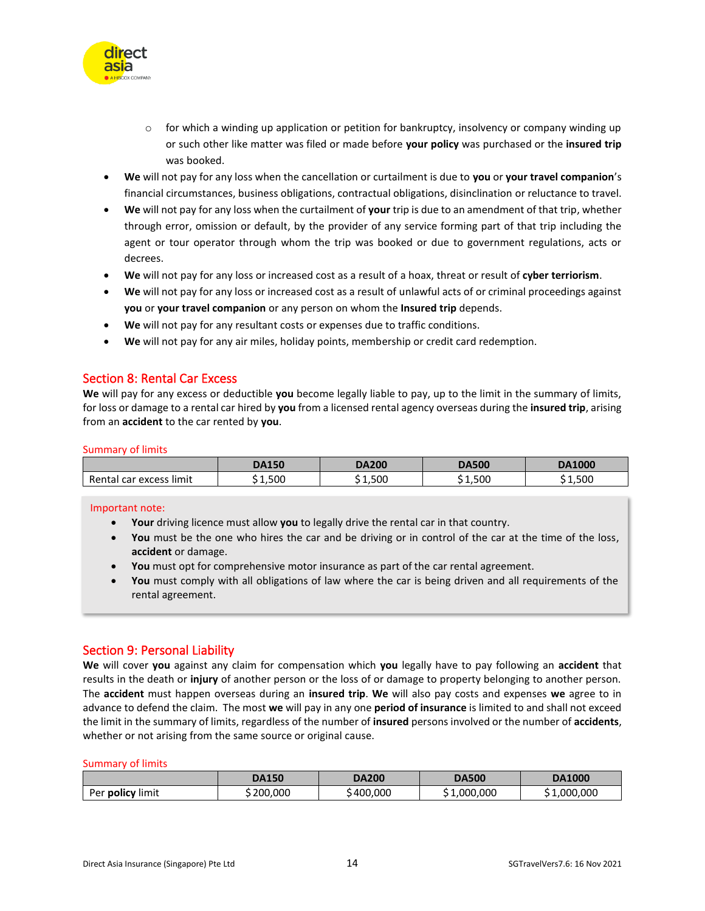

- $\circ$  for which a winding up application or petition for bankruptcy, insolvency or company winding up or such other like matter was filed or made before **your policy** was purchased or the **insured trip** was booked.
- **We** will not pay for any loss when the cancellation or curtailment is due to **you** or **your travel companion**'s financial circumstances, business obligations, contractual obligations, disinclination or reluctance to travel.
- **We** will not pay for any loss when the curtailment of **your** trip is due to an amendment of that trip, whether through error, omission or default, by the provider of any service forming part of that trip including the agent or tour operator through whom the trip was booked or due to government regulations, acts or decrees.
- **We** will not pay for any loss or increased cost as a result of a hoax, threat or result of **cyber terriorism**.
- **We** will not pay for any loss or increased cost as a result of unlawful acts of or criminal proceedings against **you** or **your travel companion** or any person on whom the **Insured trip** depends.
- **We** will not pay for any resultant costs or expenses due to traffic conditions.
- **We** will not pay for any air miles, holiday points, membership or credit card redemption.

### <span id="page-13-0"></span>Section 8: Rental Car Excess

**We** will pay for any excess or deductible **you** become legally liable to pay, up to the limit in the summary of limits, for loss or damage to a rental car hired by **you** from a licensed rental agency overseas during the **insured trip**, arising from an **accident** to the car rented by **you**.

#### Summary of limits

|                         | <b>DA150</b> | <b>DA200</b> | <b>DA500</b> | <b>DA1000</b> |
|-------------------------|--------------|--------------|--------------|---------------|
| Rental car excess limit | 1,500        | 1.500        | 1,500        | 1,500         |

#### Important note:

- **Your** driving licence must allow **you** to legally drive the rental car in that country.
- **You** must be the one who hires the car and be driving or in control of the car at the time of the loss, **accident** or damage.
- **You** must opt for comprehensive motor insurance as part of the car rental agreement.
- **You** must comply with all obligations of law where the car is being driven and all requirements of the rental agreement.

#### <span id="page-13-1"></span>Section 9: Personal Liability

**We** will cover **you** against any claim for compensation which **you** legally have to pay following an **accident** that results in the death or **injury** of another person or the loss of or damage to property belonging to another person. The **accident** must happen overseas during an **insured trip**. **We** will also pay costs and expenses **we** agree to in advance to defend the claim. The most **we** will pay in any one **period of insurance** is limited to and shall not exceed the limit in the summary of limits, regardless of the number of **insured** persons involved or the number of **accidents**, whether or not arising from the same source or original cause.

#### Summary of limits

|                         | DA150      | <b>DA200</b> | <b>DA500</b> | <b>DA1000</b> |
|-------------------------|------------|--------------|--------------|---------------|
| Per <b>policy</b> limit | \$ 200.000 | 400.000      | 1,000,000    | .000.000      |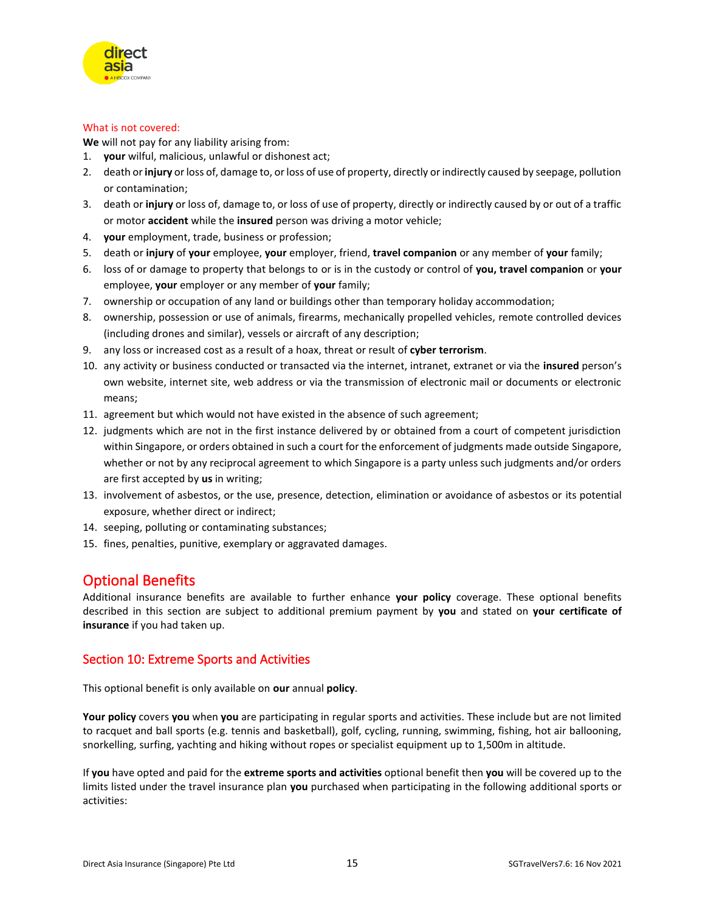

#### What is not covered:

**We** will not pay for any liability arising from:

- 1. **your** wilful, malicious, unlawful or dishonest act;
- 2. death or **injury** or loss of, damage to, or loss of use of property, directly or indirectly caused by seepage, pollution or contamination;
- 3. death or **injury** or loss of, damage to, or loss of use of property, directly or indirectly caused by or out of a traffic or motor **accident** while the **insured** person was driving a motor vehicle;
- 4. **your** employment, trade, business or profession;
- 5. death or **injury** of **your** employee, **your** employer, friend, **travel companion** or any member of **your** family;
- 6. loss of or damage to property that belongs to or is in the custody or control of **you, travel companion** or **your** employee, **your** employer or any member of **your** family;
- 7. ownership or occupation of any land or buildings other than temporary holiday accommodation;
- 8. ownership, possession or use of animals, firearms, mechanically propelled vehicles, remote controlled devices (including drones and similar), vessels or aircraft of any description;
- 9. any loss or increased cost as a result of a hoax, threat or result of **cyber terrorism**.
- 10. any activity or business conducted or transacted via the internet, intranet, extranet or via the **insured** person's own website, internet site, web address or via the transmission of electronic mail or documents or electronic means;
- 11. agreement but which would not have existed in the absence of such agreement;
- 12. judgments which are not in the first instance delivered by or obtained from a court of competent jurisdiction within Singapore, or orders obtained in such a court for the enforcement of judgments made outside Singapore, whether or not by any reciprocal agreement to which Singapore is a party unless such judgments and/or orders are first accepted by **us** in writing;
- 13. involvement of asbestos, or the use, presence, detection, elimination or avoidance of asbestos or its potential exposure, whether direct or indirect;
- 14. seeping, polluting or contaminating substances;
- 15. fines, penalties, punitive, exemplary or aggravated damages.

## <span id="page-14-0"></span>Optional Benefits

Additional insurance benefits are available to further enhance **your policy** coverage. These optional benefits described in this section are subject to additional premium payment by **you** and stated on **your certificate of insurance** if you had taken up.

## <span id="page-14-1"></span>Section 10: Extreme Sports and Activities

This optional benefit is only available on **our** annual **policy**.

**Your policy** covers **you** when **you** are participating in regular sports and activities. These include but are not limited to racquet and ball sports (e.g. tennis and basketball), golf, cycling, running, swimming, fishing, hot air ballooning, snorkelling, surfing, yachting and hiking without ropes or specialist equipment up to 1,500m in altitude.

If **you** have opted and paid for the **extreme sports and activities** optional benefit then **you** will be covered up to the limits listed under the travel insurance plan **you** purchased when participating in the following additional sports or activities: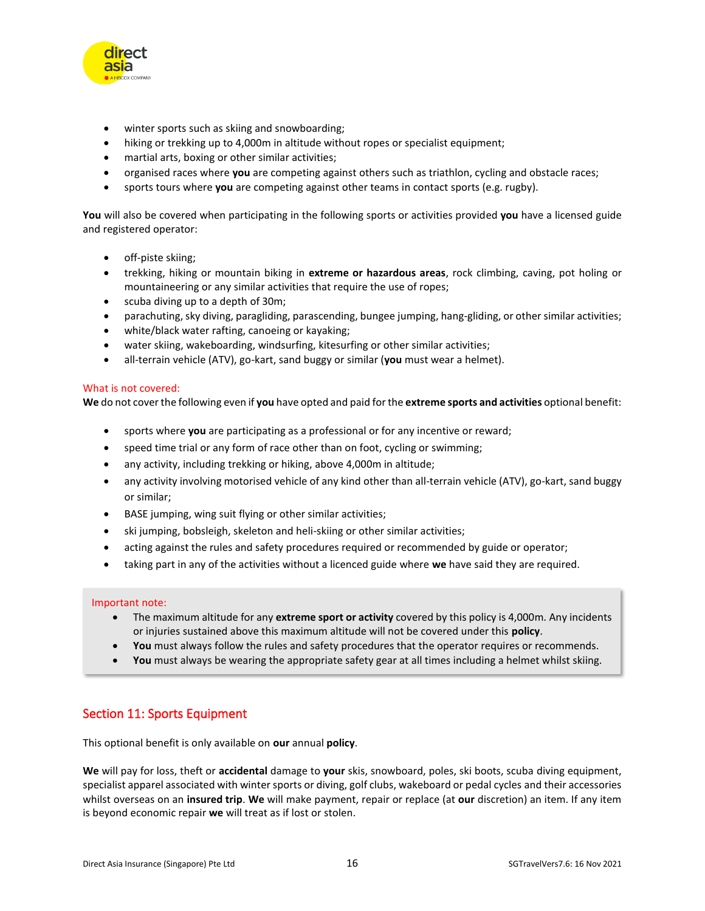

- winter sports such as skiing and snowboarding;
- hiking or trekking up to 4,000m in altitude without ropes or specialist equipment;
- martial arts, boxing or other similar activities;
- organised races where **you** are competing against others such as triathlon, cycling and obstacle races;
- sports tours where **you** are competing against other teams in contact sports (e.g. rugby).

**You** will also be covered when participating in the following sports or activities provided **you** have a licensed guide and registered operator:

- off-piste skiing;
- trekking, hiking or mountain biking in **extreme or hazardous areas**, rock climbing, caving, pot holing or mountaineering or any similar activities that require the use of ropes;
- scuba diving up to a depth of 30m;
- parachuting, sky diving, paragliding, parascending, bungee jumping, hang-gliding, or other similar activities;
- white/black water rafting, canoeing or kayaking;
- water skiing, wakeboarding, windsurfing, kitesurfing or other similar activities;
- all-terrain vehicle (ATV), go-kart, sand buggy or similar (**you** must wear a helmet).

#### What is not covered:

**We** do not cover the following even if **you** have opted and paid for the **extreme sports and activities** optional benefit:

- sports where **you** are participating as a professional or for any incentive or reward;
- speed time trial or any form of race other than on foot, cycling or swimming;
- any activity, including trekking or hiking, above 4,000m in altitude;
- any activity involving motorised vehicle of any kind other than all-terrain vehicle (ATV), go-kart, sand buggy or similar;
- BASE jumping, wing suit flying or other similar activities;
- ski jumping, bobsleigh, skeleton and heli-skiing or other similar activities;
- acting against the rules and safety procedures required or recommended by guide or operator;
- taking part in any of the activities without a licenced guide where **we** have said they are required.

#### Important note:

- The maximum altitude for any **extreme sport or activity** covered by this policy is 4,000m. Any incidents or injuries sustained above this maximum altitude will not be covered under this **policy**.
- **You** must always follow the rules and safety procedures that the operator requires or recommends.
- You must always be wearing the appropriate safety gear at all times including a helmet whilst skiing.

## <span id="page-15-0"></span>Section 11: Sports Equipment

This optional benefit is only available on **our** annual **policy**.

**We** will pay for loss, theft or **accidental** damage to **your** skis, snowboard, poles, ski boots, scuba diving equipment, specialist apparel associated with winter sports or diving, golf clubs, wakeboard or pedal cycles and their accessories whilst overseas on an **insured trip**. **We** will make payment, repair or replace (at **our** discretion) an item. If any item is beyond economic repair **we** will treat as if lost or stolen.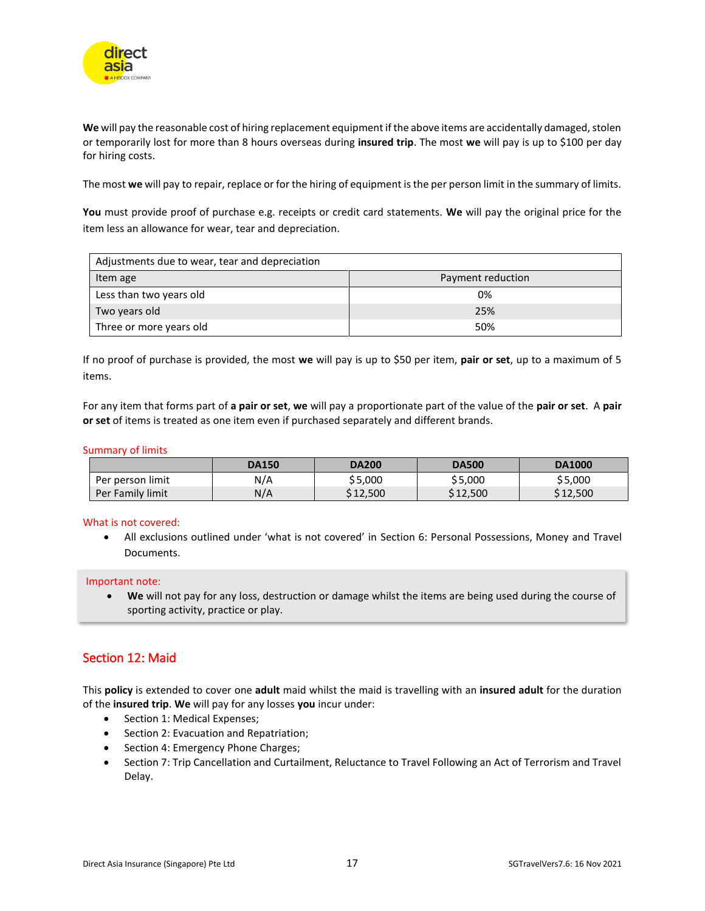

**We** will pay the reasonable cost of hiring replacement equipment if the above items are accidentally damaged, stolen or temporarily lost for more than 8 hours overseas during **insured trip**. The most **we** will pay is up to \$100 per day for hiring costs.

The most **we** will pay to repair, replace or for the hiring of equipment is the per person limit in the summary of limits.

**You** must provide proof of purchase e.g. receipts or credit card statements. **We** will pay the original price for the item less an allowance for wear, tear and depreciation.

| Adjustments due to wear, tear and depreciation |                   |  |  |  |
|------------------------------------------------|-------------------|--|--|--|
| Item age                                       | Payment reduction |  |  |  |
| Less than two years old                        | 0%                |  |  |  |
| Two years old                                  | 25%               |  |  |  |
| Three or more years old                        | 50%               |  |  |  |

If no proof of purchase is provided, the most **we** will pay is up to \$50 per item, **pair or set**, up to a maximum of 5 items.

For any item that forms part of **a pair or set**, **we** will pay a proportionate part of the value of the **pair or set**. A **pair or set** of items is treated as one item even if purchased separately and different brands.

#### Summary of limits

|                  | <b>DA150</b> | <b>DA200</b> | <b>DA500</b> | <b>DA1000</b> |
|------------------|--------------|--------------|--------------|---------------|
| Per person limit | N/A          | \$5,000      | \$5,000      | \$5,000       |
| Per Family limit | N/A          | \$12,500     | \$12,500     | \$12,500      |

#### What is not covered:

• All exclusions outlined under 'what is not covered' in Section 6: Personal Possessions, Money and Travel Documents.

Important note:

• **We** will not pay for any loss, destruction or damage whilst the items are being used during the course of sporting activity, practice or play.

## <span id="page-16-0"></span>Section 12: Maid

This **policy** is extended to cover one **adult** maid whilst the maid is travelling with an **insured adult** for the duration of the **insured trip**. **We** will pay for any losses **you** incur under:

- Section 1: Medical Expenses;
- Section 2: Evacuation and Repatriation;
- Section 4: Emergency Phone Charges;
- Section 7: Trip Cancellation and Curtailment, Reluctance to Travel Following an Act of Terrorism and Travel Delay.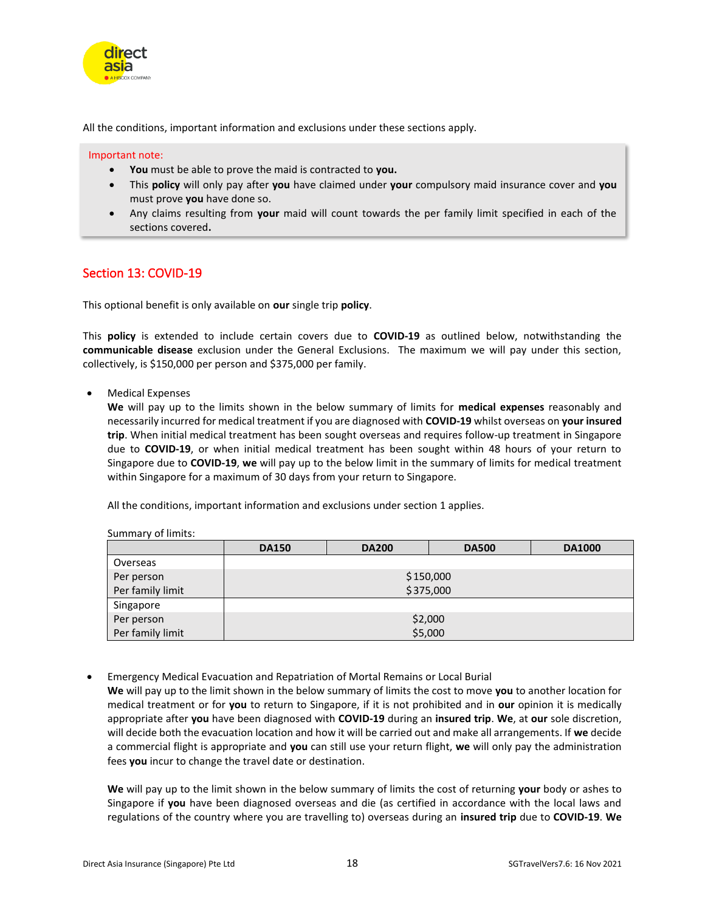

All the conditions, important information and exclusions under these sections apply.

Important note:

- **You** must be able to prove the maid is contracted to **you.**
- This **policy** will only pay after **you** have claimed under **your** compulsory maid insurance cover and **you** must prove **you** have done so.
- Any claims resulting from **your** maid will count towards the per family limit specified in each of the sections covered**.**

## <span id="page-17-0"></span>Section 13: COVID-19

This optional benefit is only available on **our** single trip **policy**.

This **policy** is extended to include certain covers due to **COVID-19** as outlined below, notwithstanding the **communicable disease** exclusion under the General Exclusions. The maximum we will pay under this section, collectively, is \$150,000 per person and \$375,000 per family.

• Medical Expenses

**We** will pay up to the limits shown in the below summary of limits for **medical expenses** reasonably and necessarily incurred for medical treatment if you are diagnosed with **COVID-19** whilst overseas on **your insured trip**. When initial medical treatment has been sought overseas and requires follow-up treatment in Singapore due to **COVID-19**, or when initial medical treatment has been sought within 48 hours of your return to Singapore due to **COVID-19**, **we** will pay up to the below limit in the summary of limits for medical treatment within Singapore for a maximum of 30 days from your return to Singapore.

All the conditions, important information and exclusions under section 1 applies.

#### Summary of limits:

|                  | <b>DA150</b> | <b>DA200</b> | <b>DA500</b> | <b>DA1000</b> |
|------------------|--------------|--------------|--------------|---------------|
| Overseas         |              |              |              |               |
| Per person       | \$150,000    |              |              |               |
| Per family limit | \$375,000    |              |              |               |
| Singapore        |              |              |              |               |
| Per person       | \$2,000      |              |              |               |
| Per family limit |              |              | \$5,000      |               |

• Emergency Medical Evacuation and Repatriation of Mortal Remains or Local Burial

**We** will pay up to the limit shown in the below summary of limits the cost to move **you** to another location for medical treatment or for **you** to return to Singapore, if it is not prohibited and in **our** opinion it is medically appropriate after **you** have been diagnosed with **COVID-19** during an **insured trip**. **We**, at **our** sole discretion, will decide both the evacuation location and how it will be carried out and make all arrangements. If **we** decide a commercial flight is appropriate and **you** can still use your return flight, **we** will only pay the administration fees **you** incur to change the travel date or destination.

**We** will pay up to the limit shown in the below summary of limits the cost of returning **your** body or ashes to Singapore if **you** have been diagnosed overseas and die (as certified in accordance with the local laws and regulations of the country where you are travelling to) overseas during an **insured trip** due to **COVID-19**. **We**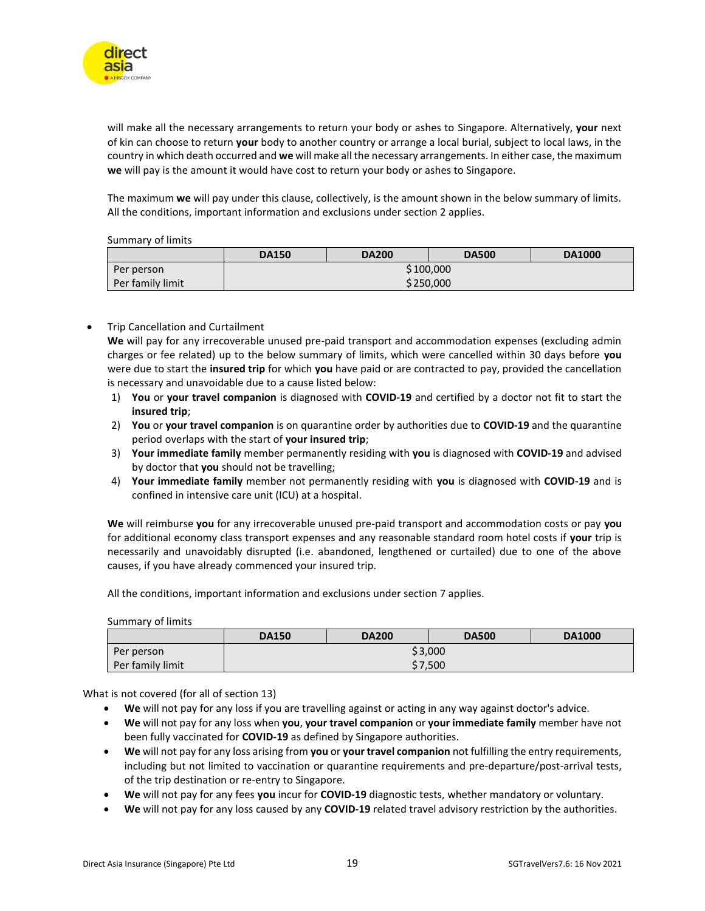

will make all the necessary arrangements to return your body or ashes to Singapore. Alternatively, **your** next of kin can choose to return **your** body to another country or arrange a local burial, subject to local laws, in the country in which death occurred and **we** will make all the necessary arrangements. In either case, the maximum **we** will pay is the amount it would have cost to return your body or ashes to Singapore.

The maximum **we** will pay under this clause, collectively, is the amount shown in the below summary of limits. All the conditions, important information and exclusions under section 2 applies.

Summary of limits

|                  | <b>DA150</b> | <b>DA200</b> | <b>DA500</b> | <b>DA1000</b> |
|------------------|--------------|--------------|--------------|---------------|
| Per person       | \$100,000    |              |              |               |
| Per family limit |              |              | \$250,000    |               |

#### • Trip Cancellation and Curtailment

**We** will pay for any irrecoverable unused pre-paid transport and accommodation expenses (excluding admin charges or fee related) up to the below summary of limits, which were cancelled within 30 days before **you** were due to start the **insured trip** for which **you** have paid or are contracted to pay, provided the cancellation is necessary and unavoidable due to a cause listed below:

- 1) **You** or **your travel companion** is diagnosed with **COVID-19** and certified by a doctor not fit to start the **insured trip**;
- 2) **You** or **your travel companion** is on quarantine order by authorities due to **COVID-19** and the quarantine period overlaps with the start of **your insured trip**;
- 3) **Your immediate family** member permanently residing with **you** is diagnosed with **COVID-19** and advised by doctor that **you** should not be travelling;
- 4) **Your immediate family** member not permanently residing with **you** is diagnosed with **COVID-19** and is confined in intensive care unit (ICU) at a hospital.

**We** will reimburse **you** for any irrecoverable unused pre-paid transport and accommodation costs or pay **you** for additional economy class transport expenses and any reasonable standard room hotel costs if **your** trip is necessarily and unavoidably disrupted (i.e. abandoned, lengthened or curtailed) due to one of the above causes, if you have already commenced your insured trip.

All the conditions, important information and exclusions under section 7 applies.

Summary of limits

|                  | <b>DA150</b> | <b>DA200</b> | <b>DA500</b> | <b>DA1000</b> |
|------------------|--------------|--------------|--------------|---------------|
| Per person       | \$3,000      |              |              |               |
| Per family limit |              |              | \$7,500      |               |

What is not covered (for all of section 13)

- **We** will not pay for any loss if you are travelling against or acting in any way against doctor's advice.
- **We** will not pay for any loss when **you**, **your travel companion** or **your immediate family** member have not been fully vaccinated for **COVID-19** as defined by Singapore authorities.
- **We** will not pay for any loss arising from **you** or **your travel companion** not fulfilling the entry requirements, including but not limited to vaccination or quarantine requirements and pre-departure/post-arrival tests, of the trip destination or re-entry to Singapore.
- **We** will not pay for any fees **you** incur for **COVID-19** diagnostic tests, whether mandatory or voluntary.
- **We** will not pay for any loss caused by any **COVID-19** related travel advisory restriction by the authorities.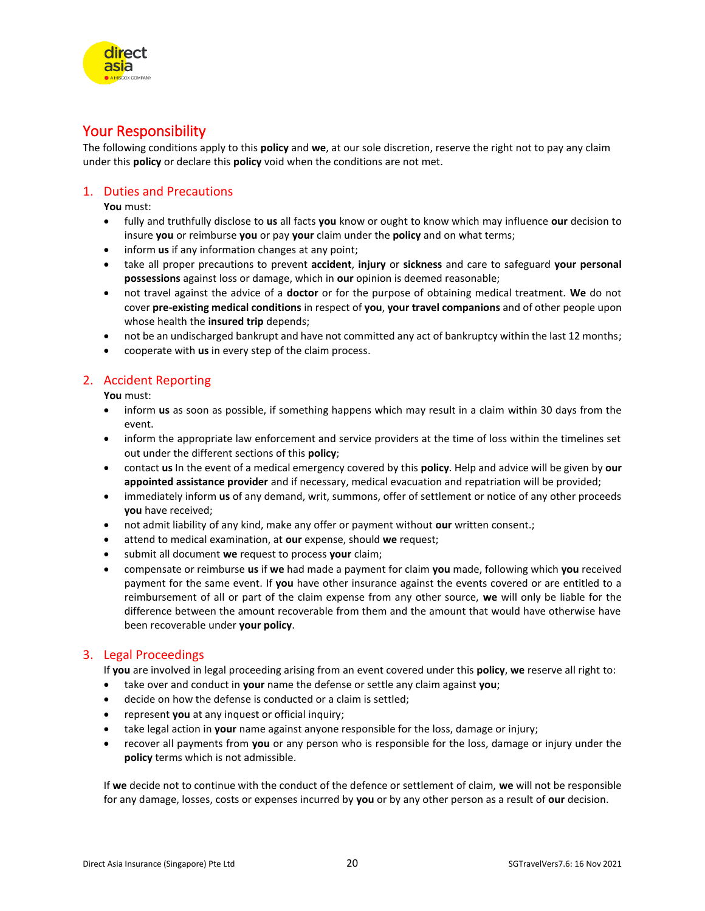## <span id="page-19-0"></span>Your Responsibility

The following conditions apply to this **policy** and **we**, at our sole discretion, reserve the right not to pay any claim under this **policy** or declare this **policy** void when the conditions are not met.

#### <span id="page-19-1"></span>1. Duties and Precautions

**You** must:

- fully and truthfully disclose to **us** all facts **you** know or ought to know which may influence **our** decision to insure **you** or reimburse **you** or pay **your** claim under the **policy** and on what terms;
- inform **us** if any information changes at any point;
- take all proper precautions to prevent **accident**, **injury** or **sickness** and care to safeguard **your personal possessions** against loss or damage, which in **our** opinion is deemed reasonable;
- not travel against the advice of a **doctor** or for the purpose of obtaining medical treatment. **We** do not cover **pre-existing medical conditions** in respect of **you**, **your travel companions** and of other people upon whose health the **insured trip** depends;
- not be an undischarged bankrupt and have not committed any act of bankruptcy within the last 12 months;
- cooperate with **us** in every step of the claim process.

## <span id="page-19-2"></span>2. Accident Reporting

**You** must:

- inform **us** as soon as possible, if something happens which may result in a claim within 30 days from the event.
- inform the appropriate law enforcement and service providers at the time of loss within the timelines set out under the different sections of this **policy**;
- contact **us** In the event of a medical emergency covered by this **policy**. Help and advice will be given by **our appointed assistance provider** and if necessary, medical evacuation and repatriation will be provided;
- immediately inform **us** of any demand, writ, summons, offer of settlement or notice of any other proceeds **you** have received;
- not admit liability of any kind, make any offer or payment without **our** written consent.;
- attend to medical examination, at **our** expense, should **we** request;
- submit all document **we** request to process **your** claim;
- compensate or reimburse **us** if **we** had made a payment for claim **you** made, following which **you** received payment for the same event. If **you** have other insurance against the events covered or are entitled to a reimbursement of all or part of the claim expense from any other source, **we** will only be liable for the difference between the amount recoverable from them and the amount that would have otherwise have been recoverable under **your policy**.

## <span id="page-19-3"></span>3. Legal Proceedings

If **you** are involved in legal proceeding arising from an event covered under this **policy**, **we** reserve all right to:

- take over and conduct in **your** name the defense or settle any claim against **you**;
- decide on how the defense is conducted or a claim is settled;
- represent **you** at any inquest or official inquiry;
- take legal action in **your** name against anyone responsible for the loss, damage or injury;
- recover all payments from **you** or any person who is responsible for the loss, damage or injury under the **policy** terms which is not admissible.

If **we** decide not to continue with the conduct of the defence or settlement of claim, **we** will not be responsible for any damage, losses, costs or expenses incurred by **you** or by any other person as a result of **our** decision.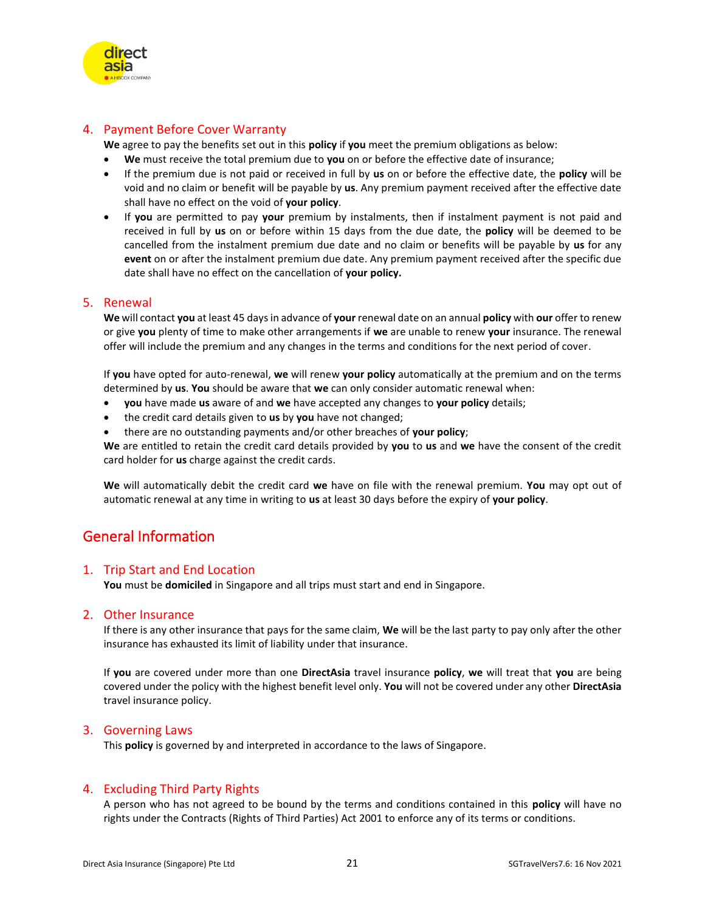

## <span id="page-20-0"></span>4. Payment Before Cover Warranty

**We** agree to pay the benefits set out in this **policy** if **you** meet the premium obligations as below:

- **We** must receive the total premium due to **you** on or before the effective date of insurance;
- If the premium due is not paid or received in full by **us** on or before the effective date, the **policy** will be void and no claim or benefit will be payable by **us**. Any premium payment received after the effective date shall have no effect on the void of **your policy**.
- If **you** are permitted to pay **your** premium by instalments, then if instalment payment is not paid and received in full by **us** on or before within 15 days from the due date, the **policy** will be deemed to be cancelled from the instalment premium due date and no claim or benefits will be payable by **us** for any **event** on or after the instalment premium due date. Any premium payment received after the specific due date shall have no effect on the cancellation of **your policy.**

### <span id="page-20-1"></span>5. Renewal

**We** will contact **you** at least 45 days in advance of **your** renewal date on an annual **policy** with **our** offer to renew or give **you** plenty of time to make other arrangements if **we** are unable to renew **your** insurance. The renewal offer will include the premium and any changes in the terms and conditions for the next period of cover.

If **you** have opted for auto-renewal, **we** will renew **your policy** automatically at the premium and on the terms determined by **us**. **You** should be aware that **we** can only consider automatic renewal when:

- **you** have made **us** aware of and **we** have accepted any changes to **your policy** details;
- the credit card details given to **us** by **you** have not changed;
- there are no outstanding payments and/or other breaches of **your policy**;

**We** are entitled to retain the credit card details provided by **you** to **us** and **we** have the consent of the credit card holder for **us** charge against the credit cards.

**We** will automatically debit the credit card **we** have on file with the renewal premium. **You** may opt out of automatic renewal at any time in writing to **us** at least 30 days before the expiry of **your policy**.

## <span id="page-20-2"></span>General Information

#### <span id="page-20-3"></span>1. Trip Start and End Location

**You** must be **domiciled** in Singapore and all trips must start and end in Singapore.

#### <span id="page-20-4"></span>2. Other Insurance

If there is any other insurance that pays for the same claim, **We** will be the last party to pay only after the other insurance has exhausted its limit of liability under that insurance.

If **you** are covered under more than one **DirectAsia** travel insurance **policy**, **we** will treat that **you** are being covered under the policy with the highest benefit level only. **You** will not be covered under any other **DirectAsia** travel insurance policy.

#### <span id="page-20-5"></span>3. Governing Laws

This **policy** is governed by and interpreted in accordance to the laws of Singapore.

## <span id="page-20-6"></span>4. Excluding Third Party Rights

A person who has not agreed to be bound by the terms and conditions contained in this **policy** will have no rights under the Contracts (Rights of Third Parties) Act 2001 to enforce any of its terms or conditions.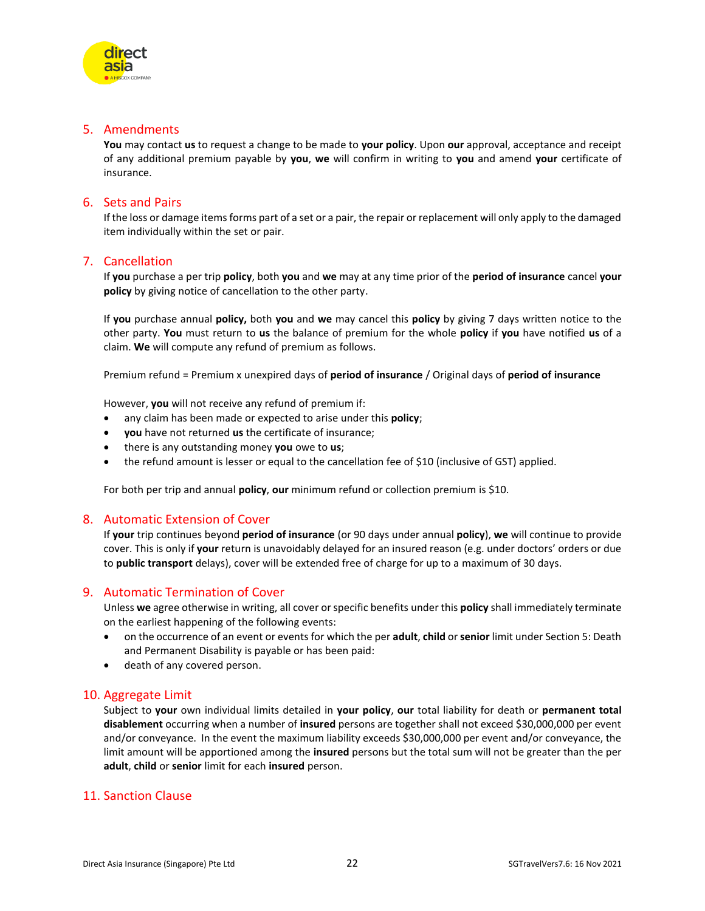

## <span id="page-21-0"></span>5. Amendments

**You** may contact **us** to request a change to be made to **your policy**. Upon **our** approval, acceptance and receipt of any additional premium payable by **you**, **we** will confirm in writing to **you** and amend **your** certificate of insurance.

## <span id="page-21-1"></span>6. Sets and Pairs

If the loss or damage items forms part of a set or a pair, the repair or replacement will only apply to the damaged item individually within the set or pair.

#### <span id="page-21-2"></span>7. Cancellation

If **you** purchase a per trip **policy**, both **you** and **we** may at any time prior of the **period of insurance** cancel **your policy** by giving notice of cancellation to the other party.

If **you** purchase annual **policy,** both **you** and **we** may cancel this **policy** by giving 7 days written notice to the other party. **You** must return to **us** the balance of premium for the whole **policy** if **you** have notified **us** of a claim. **We** will compute any refund of premium as follows.

Premium refund = Premium x unexpired days of **period of insurance** / Original days of **period of insurance**

However, **you** will not receive any refund of premium if:

- any claim has been made or expected to arise under this **policy**;
- **you** have not returned **us** the certificate of insurance;
- there is any outstanding money **you** owe to **us**;
- the refund amount is lesser or equal to the cancellation fee of \$10 (inclusive of GST) applied.

For both per trip and annual **policy**, **our** minimum refund or collection premium is \$10.

#### <span id="page-21-3"></span>8. Automatic Extension of Cover

If **your** trip continues beyond **period of insurance** (or 90 days under annual **policy**), **we** will continue to provide cover. This is only if **your** return is unavoidably delayed for an insured reason (e.g. under doctors' orders or due to **public transport** delays), cover will be extended free of charge for up to a maximum of 30 days.

#### <span id="page-21-4"></span>9. Automatic Termination of Cover

Unless **we** agree otherwise in writing, all cover or specific benefits under this **policy** shall immediately terminate on the earliest happening of the following events:

- on the occurrence of an event or events for which the per **adult**, **child** or **senior** limit under Section 5: Death and Permanent Disability is payable or has been paid:
- death of any covered person.

## <span id="page-21-5"></span>10. Aggregate Limit

Subject to **your** own individual limits detailed in **your policy**, **our** total liability for death or **permanent total disablement** occurring when a number of **insured** persons are together shall not exceed \$30,000,000 per event and/or conveyance. In the event the maximum liability exceeds \$30,000,000 per event and/or conveyance, the limit amount will be apportioned among the **insured** persons but the total sum will not be greater than the per **adult**, **child** or **senior** limit for each **insured** person.

## <span id="page-21-6"></span>11. Sanction Clause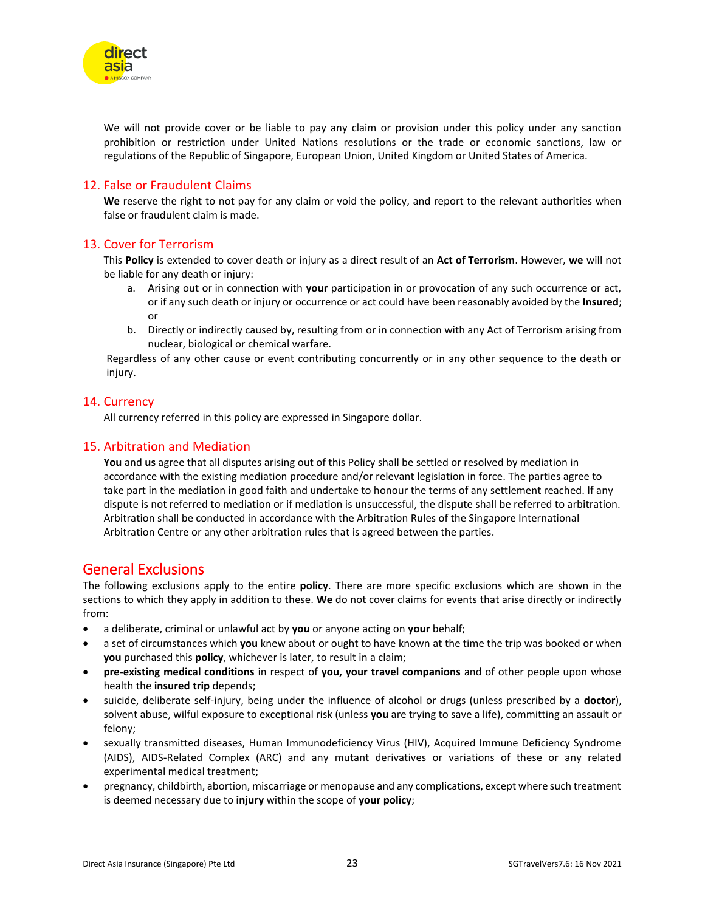

We will not provide cover or be liable to pay any claim or provision under this policy under any sanction prohibition or restriction under United Nations resolutions or the trade or economic sanctions, law or regulations of the Republic of Singapore, European Union, United Kingdom or United States of America.

### <span id="page-22-0"></span>12. False or Fraudulent Claims

**We** reserve the right to not pay for any claim or void the policy, and report to the relevant authorities when false or fraudulent claim is made.

### <span id="page-22-1"></span>13. Cover for Terrorism

This **Policy** is extended to cover death or injury as a direct result of an **Act of Terrorism**. However, **we** will not be liable for any death or injury:

- a. Arising out or in connection with **your** participation in or provocation of any such occurrence or act, or if any such death or injury or occurrence or act could have been reasonably avoided by the **Insured**; or
- b. Directly or indirectly caused by, resulting from or in connection with any Act of Terrorism arising from nuclear, biological or chemical warfare.

Regardless of any other cause or event contributing concurrently or in any other sequence to the death or injury.

#### <span id="page-22-2"></span>14. Currency

All currency referred in this policy are expressed in Singapore dollar.

#### <span id="page-22-3"></span>15. Arbitration and Mediation

**You** and **us** agree that all disputes arising out of this Policy shall be settled or resolved by mediation in accordance with the existing mediation procedure and/or relevant legislation in force. The parties agree to take part in the mediation in good faith and undertake to honour the terms of any settlement reached. If any dispute is not referred to mediation or if mediation is unsuccessful, the dispute shall be referred to arbitration. Arbitration shall be conducted in accordance with the Arbitration Rules of the Singapore International Arbitration Centre or any other arbitration rules that is agreed between the parties.

## <span id="page-22-4"></span>General Exclusions

The following exclusions apply to the entire **policy**. There are more specific exclusions which are shown in the sections to which they apply in addition to these. **We** do not cover claims for events that arise directly or indirectly from:

- a deliberate, criminal or unlawful act by **you** or anyone acting on **your** behalf;
- a set of circumstances which **you** knew about or ought to have known at the time the trip was booked or when **you** purchased this **policy**, whichever is later, to result in a claim;
- **pre-existing medical conditions** in respect of **you, your travel companions** and of other people upon whose health the **insured trip** depends;
- suicide, deliberate self-injury, being under the influence of alcohol or drugs (unless prescribed by a **doctor**), solvent abuse, wilful exposure to exceptional risk (unless **you** are trying to save a life), committing an assault or felony;
- sexually transmitted diseases, Human Immunodeficiency Virus (HIV), Acquired Immune Deficiency Syndrome (AIDS), AIDS-Related Complex (ARC) and any mutant derivatives or variations of these or any related experimental medical treatment;
- pregnancy, childbirth, abortion, miscarriage or menopause and any complications, except where such treatment is deemed necessary due to **injury** within the scope of **your policy**;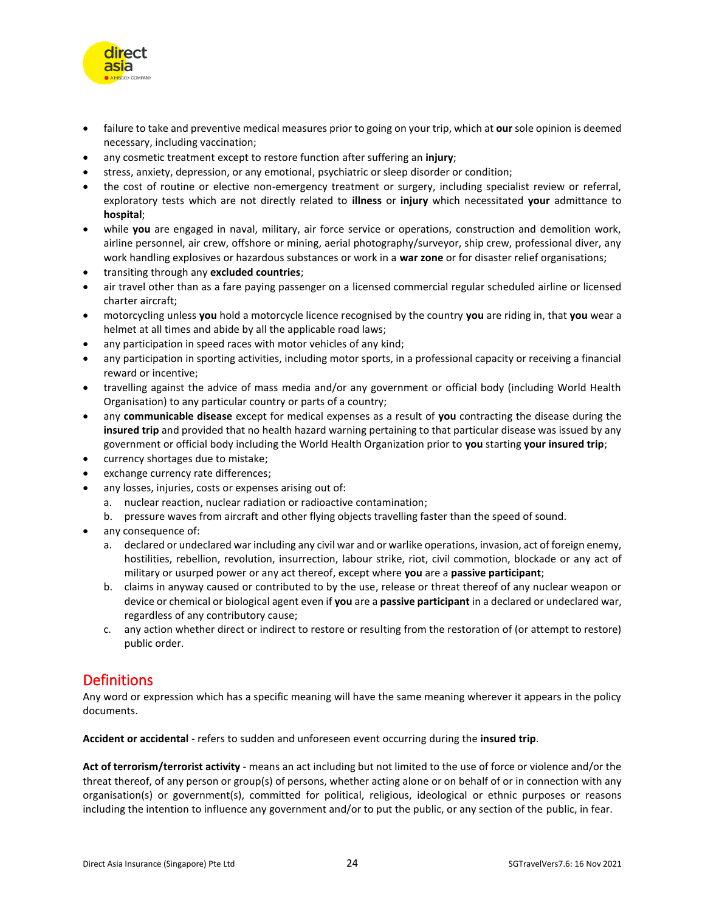

- failure to take and preventive medical measures prior to going on your trip, which at **our** sole opinion is deemed necessary, including vaccination;
- any cosmetic treatment except to restore function after suffering an **injury**;
- stress, anxiety, depression, or any emotional, psychiatric or sleep disorder or condition;
- the cost of routine or elective non-emergency treatment or surgery, including specialist review or referral, exploratory tests which are not directly related to **illness** or **injury** which necessitated **your** admittance to **hospital**;
- while **you** are engaged in naval, military, air force service or operations, construction and demolition work, airline personnel, air crew, offshore or mining, aerial photography/surveyor, ship crew, professional diver, any work handling explosives or hazardous substances or work in a **war zone** or for disaster relief organisations;
- transiting through any **excluded countries**;
- air travel other than as a fare paying passenger on a licensed commercial regular scheduled airline or licensed charter aircraft;
- motorcycling unless **you** hold a motorcycle licence recognised by the country **you** are riding in, that **you** wear a helmet at all times and abide by all the applicable road laws;
- any participation in speed races with motor vehicles of any kind;
- any participation in sporting activities, including motor sports, in a professional capacity or receiving a financial reward or incentive;
- travelling against the advice of mass media and/or any government or official body (including World Health Organisation) to any particular country or parts of a country;
- any **communicable disease** except for medical expenses as a result of **you** contracting the disease during the **insured trip** and provided that no health hazard warning pertaining to that particular disease was issued by any government or official body including the World Health Organization prior to **you** starting **your insured trip**;
- currency shortages due to mistake;
- exchange currency rate differences;
	- any losses, injuries, costs or expenses arising out of:
		- a. nuclear reaction, nuclear radiation or radioactive contamination;
		- b. pressure waves from aircraft and other flying objects travelling faster than the speed of sound.
- any consequence of:
	- a. declared or undeclared war including any civil war and or warlike operations, invasion, act of foreign enemy, hostilities, rebellion, revolution, insurrection, labour strike, riot, civil commotion, blockade or any act of military or usurped power or any act thereof, except where **you** are a **passive participant**;
	- b. claims in anyway caused or contributed to by the use, release or threat thereof of any nuclear weapon or device or chemical or biological agent even if **you** are a **passive participant** in a declared or undeclared war, regardless of any contributory cause;
	- c. any action whether direct or indirect to restore or resulting from the restoration of (or attempt to restore) public order.

## <span id="page-23-0"></span>**Definitions**

Any word or expression which has a specific meaning will have the same meaning wherever it appears in the policy documents.

**Accident or accidental** - refers to sudden and unforeseen event occurring during the **insured trip**.

**Act of terrorism/terrorist activity** - means an act including but not limited to the use of force or violence and/or the threat thereof, of any person or group(s) of persons, whether acting alone or on behalf of or in connection with any organisation(s) or government(s), committed for political, religious, ideological or ethnic purposes or reasons including the intention to influence any government and/or to put the public, or any section of the public, in fear.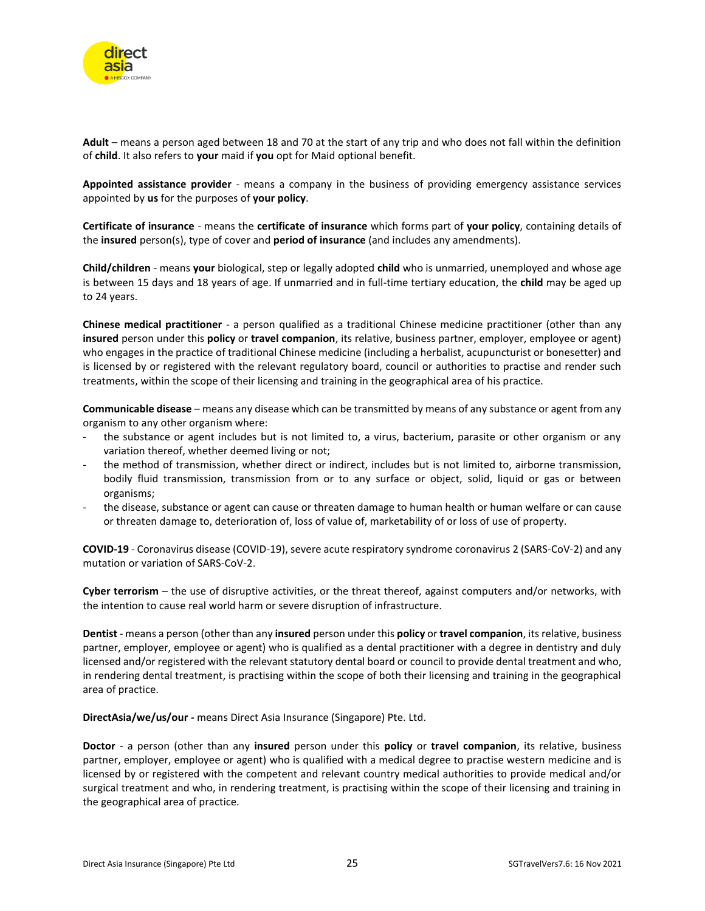

**Adult** – means a person aged between 18 and 70 at the start of any trip and who does not fall within the definition of **child**. It also refers to **your** maid if **you** opt for Maid optional benefit.

**Appointed assistance provider** - means a company in the business of providing emergency assistance services appointed by **us** for the purposes of **your policy**.

**Certificate of insurance** - means the **certificate of insurance** which forms part of **your policy**, containing details of the **insured** person(s), type of cover and **period of insurance** (and includes any amendments).

**Child/children** - means **your** biological, step or legally adopted **child** who is unmarried, unemployed and whose age is between 15 days and 18 years of age. If unmarried and in full-time tertiary education, the **child** may be aged up to 24 years.

**Chinese medical practitioner** - a person qualified as a traditional Chinese medicine practitioner (other than any **insured** person under this **policy** or **travel companion**, its relative, business partner, employer, employee or agent) who engages in the practice of traditional Chinese medicine (including a herbalist, acupuncturist or bonesetter) and is licensed by or registered with the relevant regulatory board, council or authorities to practise and render such treatments, within the scope of their licensing and training in the geographical area of his practice.

**Communicable disease** – means any disease which can be transmitted by means of any substance or agent from any organism to any other organism where:

- the substance or agent includes but is not limited to, a virus, bacterium, parasite or other organism or any variation thereof, whether deemed living or not;
- the method of transmission, whether direct or indirect, includes but is not limited to, airborne transmission, bodily fluid transmission, transmission from or to any surface or object, solid, liquid or gas or between organisms;
- the disease, substance or agent can cause or threaten damage to human health or human welfare or can cause or threaten damage to, deterioration of, loss of value of, marketability of or loss of use of property.

**COVID-19** - Coronavirus disease (COVID-19), severe acute respiratory syndrome coronavirus 2 (SARS-CoV-2) and any mutation or variation of SARS-CoV-2.

**Cyber terrorism** – the use of disruptive activities, or the threat thereof, against computers and/or networks, with the intention to cause real world harm or severe disruption of infrastructure.

**Dentist** - means a person (other than any **insured** person under this **policy** or **travel companion**, its relative, business partner, employer, employee or agent) who is qualified as a dental practitioner with a degree in dentistry and duly licensed and/or registered with the relevant statutory dental board or council to provide dental treatment and who, in rendering dental treatment, is practising within the scope of both their licensing and training in the geographical area of practice.

**DirectAsia/we/us/our -** means Direct Asia Insurance (Singapore) Pte. Ltd.

**Doctor** - a person (other than any **insured** person under this **policy** or **travel companion**, its relative, business partner, employer, employee or agent) who is qualified with a medical degree to practise western medicine and is licensed by or registered with the competent and relevant country medical authorities to provide medical and/or surgical treatment and who, in rendering treatment, is practising within the scope of their licensing and training in the geographical area of practice.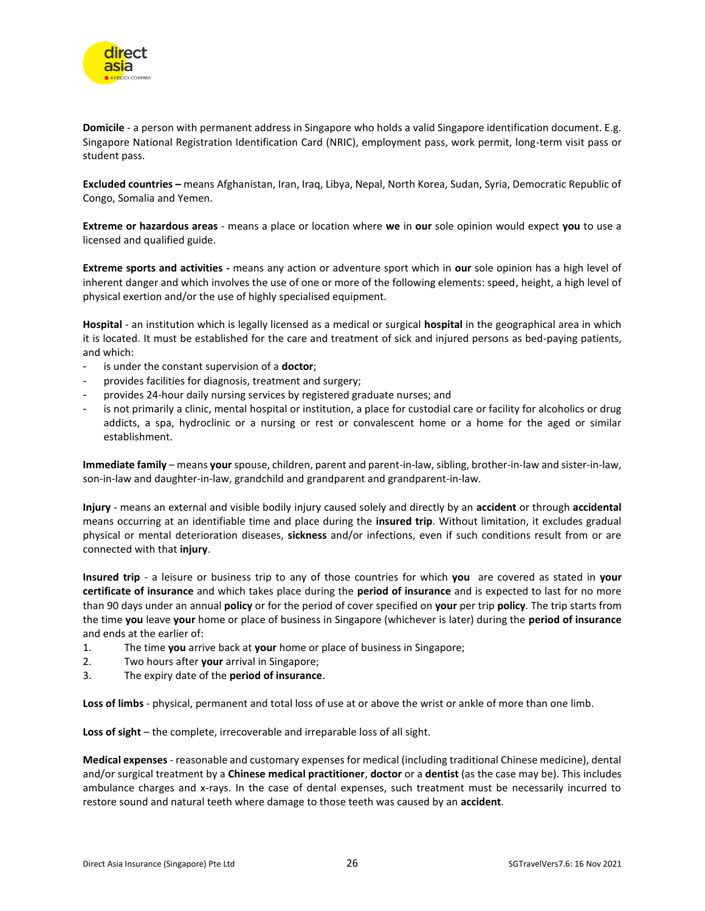

**Domicile** - a person with permanent address in Singapore who holds a valid Singapore identification document. E.g. Singapore National Registration Identification Card (NRIC), employment pass, work permit, long-term visit pass or student pass.

**Excluded countries –** means Afghanistan, Iran, Iraq, Libya, Nepal, North Korea, Sudan, Syria, Democratic Republic of Congo, Somalia and Yemen.

**Extreme or hazardous areas** - means a place or location where **we** in **our** sole opinion would expect **you** to use a licensed and qualified guide.

**Extreme sports and activities -** means any action or adventure sport which in **our** sole opinion has a high level of inherent danger and which involves the use of one or more of the following elements: speed, height, a high level of physical exertion and/or the use of highly specialised equipment.

**Hospital** - an institution which is legally licensed as a medical or surgical **hospital** in the geographical area in which it is located. It must be established for the care and treatment of sick and injured persons as bed-paying patients, and which:

- is under the constant supervision of a **doctor**;
- provides facilities for diagnosis, treatment and surgery;
- provides 24-hour daily nursing services by registered graduate nurses; and
- is not primarily a clinic, mental hospital or institution, a place for custodial care or facility for alcoholics or drug addicts, a spa, hydroclinic or a nursing or rest or convalescent home or a home for the aged or similar establishment.

**Immediate family** – means **your** spouse, children, parent and parent-in-law, sibling, brother-in-law and sister-in-law, son-in-law and daughter-in-law, grandchild and grandparent and grandparent-in-law.

**Injury** - means an external and visible bodily injury caused solely and directly by an **accident** or through **accidental** means occurring at an identifiable time and place during the **insured trip**. Without limitation, it excludes gradual physical or mental deterioration diseases, **sickness** and/or infections, even if such conditions result from or are connected with that **injury**.

**Insured trip** - a leisure or business trip to any of those countries for which **you** are covered as stated in **your certificate of insurance** and which takes place during the **period of insurance** and is expected to last for no more than 90 days under an annual **policy** or for the period of cover specified on **your** per trip **policy**. The trip starts from the time **you** leave **your** home or place of business in Singapore (whichever is later) during the **period of insurance** and ends at the earlier of:

- 1. The time **you** arrive back at **your** home or place of business in Singapore;
- 2. Two hours after **your** arrival in Singapore;
- 3. The expiry date of the **period of insurance**.

**Loss of limbs** - physical, permanent and total loss of use at or above the wrist or ankle of more than one limb.

**Loss of sight** – the complete, irrecoverable and irreparable loss of all sight.

**Medical expenses** - reasonable and customary expenses for medical (including traditional Chinese medicine), dental and/or surgical treatment by a **Chinese medical practitioner**, **doctor** or a **dentist** (as the case may be). This includes ambulance charges and x-rays. In the case of dental expenses, such treatment must be necessarily incurred to restore sound and natural teeth where damage to those teeth was caused by an **accident**.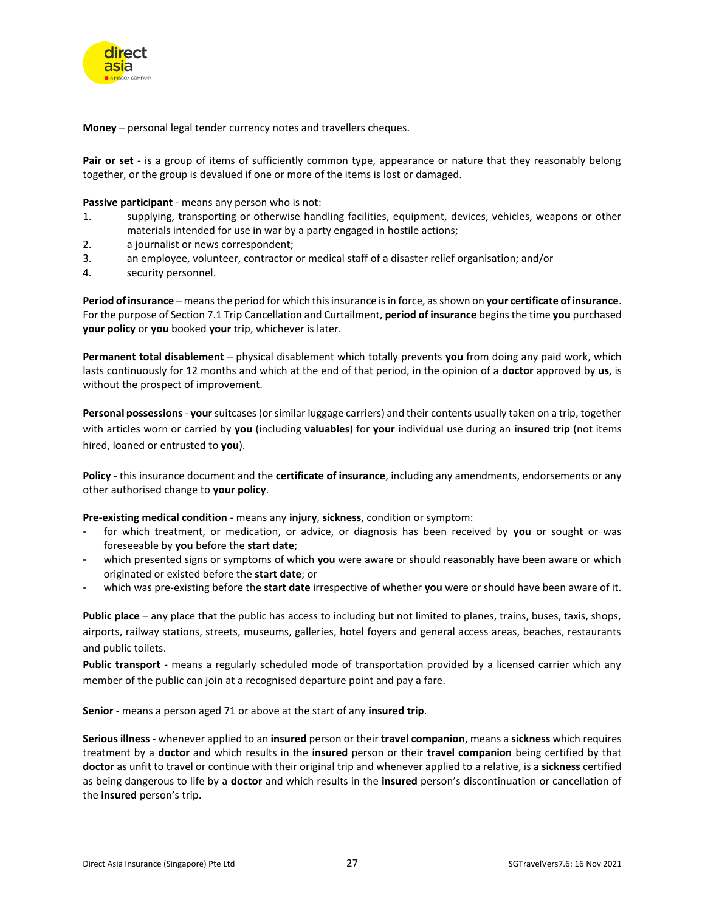

**Money** – personal legal tender currency notes and travellers cheques.

**Pair or set** - is a group of items of sufficiently common type, appearance or nature that they reasonably belong together, or the group is devalued if one or more of the items is lost or damaged.

**Passive participant** - means any person who is not:

- 1. supplying, transporting or otherwise handling facilities, equipment, devices, vehicles, weapons or other materials intended for use in war by a party engaged in hostile actions;
- 2. a journalist or news correspondent;
- 3. an employee, volunteer, contractor or medical staff of a disaster relief organisation; and/or
- 4. security personnel.

**Period of insurance** – means the period for which this insurance is in force, asshown on **your certificate of insurance**. For the purpose of Section 7.1 Trip Cancellation and Curtailment, **period of insurance** begins the time **you** purchased **your policy** or **you** booked **your** trip, whichever is later.

**Permanent total disablement** – physical disablement which totally prevents **you** from doing any paid work, which lasts continuously for 12 months and which at the end of that period, in the opinion of a **doctor** approved by **us**, is without the prospect of improvement.

**Personal possessions**- **your**suitcases (or similar luggage carriers) and their contents usually taken on a trip, together with articles worn or carried by **you** (including **valuables**) for **your** individual use during an **insured trip** (not items hired, loaned or entrusted to **you**).

**Policy** - this insurance document and the **certificate of insurance**, including any amendments, endorsements or any other authorised change to **your policy**.

**Pre-existing medical condition** - means any **injury**, **sickness**, condition or symptom:

- for which treatment, or medication, or advice, or diagnosis has been received by you or sought or was foreseeable by **you** before the **start date**;
- which presented signs or symptoms of which **you** were aware or should reasonably have been aware or which originated or existed before the **start date**; or
- which was pre-existing before the **start date** irrespective of whether **you** were or should have been aware of it.

**Public place** – any place that the public has access to including but not limited to planes, trains, buses, taxis, shops, airports, railway stations, streets, museums, galleries, hotel foyers and general access areas, beaches, restaurants and public toilets.

**Public transport** - means a regularly scheduled mode of transportation provided by a licensed carrier which any member of the public can join at a recognised departure point and pay a fare.

**Senior** - means a person aged 71 or above at the start of any **insured trip**.

**Serious illness -** whenever applied to an **insured** person or their **travel companion**, means a **sickness** which requires treatment by a **doctor** and which results in the **insured** person or their **travel companion** being certified by that **doctor** as unfit to travel or continue with their original trip and whenever applied to a relative, is a **sickness** certified as being dangerous to life by a **doctor** and which results in the **insured** person's discontinuation or cancellation of the **insured** person's trip.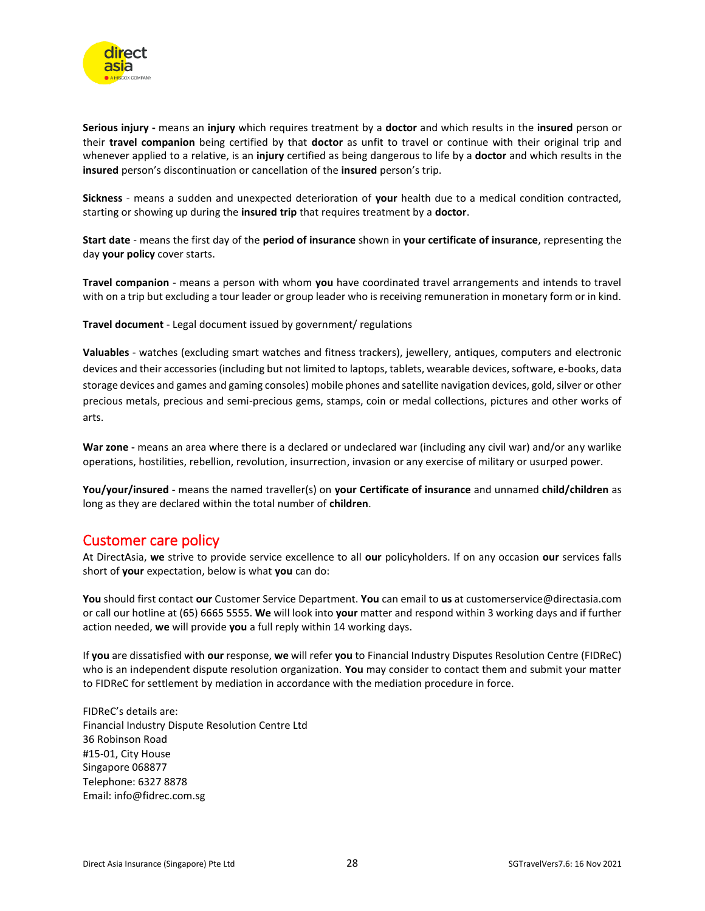

**Serious injury -** means an **injury** which requires treatment by a **doctor** and which results in the **insured** person or their **travel companion** being certified by that **doctor** as unfit to travel or continue with their original trip and whenever applied to a relative, is an **injury** certified as being dangerous to life by a **doctor** and which results in the **insured** person's discontinuation or cancellation of the **insured** person's trip.

**Sickness** - means a sudden and unexpected deterioration of **your** health due to a medical condition contracted, starting or showing up during the **insured trip** that requires treatment by a **doctor**.

**Start date** - means the first day of the **period of insurance** shown in **your certificate of insurance**, representing the day **your policy** cover starts.

**Travel companion** - means a person with whom **you** have coordinated travel arrangements and intends to travel with on a trip but excluding a tour leader or group leader who is receiving remuneration in monetary form or in kind.

**Travel document** - Legal document issued by government/ regulations

**Valuables** - watches (excluding smart watches and fitness trackers), jewellery, antiques, computers and electronic devices and their accessories (including but not limited to laptops, tablets, wearable devices, software, e-books, data storage devices and games and gaming consoles) mobile phones and satellite navigation devices, gold, silver or other precious metals, precious and semi-precious gems, stamps, coin or medal collections, pictures and other works of arts.

**War zone -** means an area where there is a declared or undeclared war (including any civil war) and/or any warlike operations, hostilities, rebellion, revolution, insurrection, invasion or any exercise of military or usurped power.

**You/your/insured** - means the named traveller(s) on **your Certificate of insurance** and unnamed **child/children** as long as they are declared within the total number of **children**.

## <span id="page-27-0"></span>Customer care policy

At DirectAsia, **we** strive to provide service excellence to all **our** policyholders. If on any occasion **our** services falls short of **your** expectation, below is what **you** can do:

**You** should first contact **our** Customer Service Department. **You** can email to **us** at customerservice@directasia.com or call our hotline at (65) 6665 5555. **We** will look into **your** matter and respond within 3 working days and if further action needed, **we** will provide **you** a full reply within 14 working days.

If **you** are dissatisfied with **our** response, **we** will refer **you** to Financial Industry Disputes Resolution Centre (FIDReC) who is an independent dispute resolution organization. **You** may consider to contact them and submit your matter to FIDReC for settlement by mediation in accordance with the mediation procedure in force.

FIDReC's details are: Financial Industry Dispute Resolution Centre Ltd 36 Robinson Road #15-01, City House Singapore 068877 Telephone: 6327 8878 Email: info@fidrec.com.sg